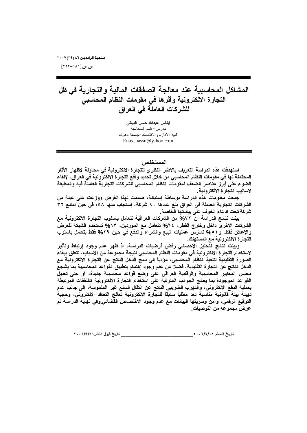ص ص [۱۸۱-۱۲۱۲

المشاكل المحاسبية عند معالجة الصفقات المالية والتجارية في ظل التجارة الالكترونية وأثرها في مقومات النظام المحاسبي للشركات العاملة في العراق

> إيناس عبدالله حسن البياتي مدرس- قسم المحاسبة كلية الادار ة و الاقتصاد-جامعة دهوك Enas\_hassn@yahoo.com

### المستخلص

استهدفت هذه الدراسة التعريف بالاطار النظري للتجارة الالكترونية في محاولة لإظهار الآثار المحتملة لـها في مقومات النظام المحاسبي من خلال تحديد واقـع التجار ة الالكترونيـة في الـعراق، لإلقاء الضوع على أبرز عناصر الضعف لمقومات النظام المحاسبي للشركات التجارية العاملة فيه والمطبقة لاساليب التجارة الالكترونية.

جمعت معلومات هذه الدراسة بوساطة إستبانـة، صممت لـهذا الـغرض ووزعت علـي عينـة من الشركات التجارية العاملة في العراق بلغ عددها ٩٠ شركة، إستجاب منها ٥٨، في حين إمتنع ٣٢ شركة تحت ادعاء الخوف على بياناتها الخاصة.

بينت نتائج الدراسة أن ٧٧% من الشركات العراقية تتعامل باسلوب التجارة الالكترونية مع الشركات الاخر ي داخل وخارج القطر ، ٢٤% تتعامل مع الموردين، ٦٣% تستخدم الشبكة للعرض والإعلان فقط، و ٥١% تمارس عمليات البيع والشراء والدفع في حين ٢٩% فقط يتعامل باسلوب التجارة الالكترونية مع المستهلك

وبينت نتائج التحليل الإحصائي رفض فرضيات الدراسة، اذ ظهر عدم وجود إرتباط وتأثير لاستخدام التجارة الالكترونية في مقومات النظام المحاسبي نتيجة مجموعة من الأسباب، تتعلق ببقاء الصورة التقليدية لتنفيذ النظام المحاسبي، مؤدياً إلى دمج الدخل الناتج عن التجارة الالكترونية مع الدخل الناتج عن التجارة التقليدية، فضلا عن عدم وجود إهتمام بتطبيق القواعد المحاسبية بما يشجع مجلس المعايير المحاسبية والرقابية العراقي على وضع قواعد محاسبية جديدة، أو حتى تعديل القواعد الموجودة بما يعالج الجوانب المترتبة على استخدام التجارة الالكترونية كالنفقات المرتبطة بعملية الدفع الالكتروني، والتهرب الضريبي الناتج عن انتقال السلع غير الملموسة، إلى جانب عدم تهيئة بيئة قانونية مناسبة تعد مطلباً سابقاً للتجارة الالكترونية تعالج التعاقد الالكترونى، وحجية التوقيع الرقمي، وامن وسريتها البيانات مع عدم وجود الاختصاص القضائي وفي نهاية الدراسة تم عرض مجموعة من التوصيات.

\_\_\_ تاريخ قبول النشر ٢٠٠٦/٩/٢٠٠٦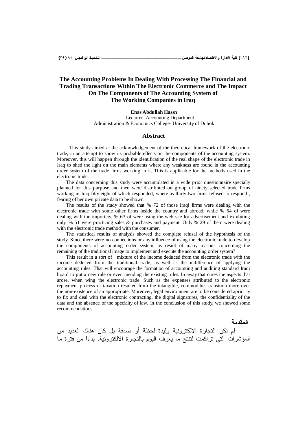### The Accounting Problems In Dealing With Processing The Financial and **Trading Transactions Within The Electronic Commerce and The Impact** On The Components of The Accounting System of The Working Companies in Iraq

#### **Enas Abdullah Hassn**

Lecturer-Accounting Department Administration & Economics College- University of Duhok

#### **Abstract**

This study aimed at the acknowledgement of the theoretical framework of the electronic trade, in an attempt to show its probable effects on the components of the accounting system. Moreover, this will happen through the identification of the real shape of the electronic trade in Iraq to shed the light on the main elements where any weakness are found in the accounting order system of the trade firms working in it. This is applicable for the methods used in the electronic trade.

The data concerning this study were accumulated in a wide prior questionnaire specially planned for this purpose and then were distributed on group of ninety selected trade firms working in Iraq fifty eight of which responded, where as thirty two firms refused to respond, fearing of her own private data to be shown.

The results of the study showed that % 72 of those Iraqi firms were dealing with the electronic trade with some other firms inside the country and abroad, while % 64 of were dealing with the importers, % 63 of were using the web site for advertisement and exhibiting only  $\frac{9}{2}$  51 were practicing sales & purchases and payment. Only % 29 of them were dealing with the electronic trade method with the consumer.

The statistical results of analysis showed the complete refusal of the hypothesis of the study. Since there were no connections or any influence of using the electronic trade to develop the components of accounting order system, as result of many reasons concerning the remaining of the traditional image to implement and execute the accounting order system?

This result in a sort of mixture of the income deduced from the electronic trade with the income deduced from the traditional trade, as well as the indifference of applying the accounting rules. That will encourage the formation of accounting and auditing standard Iraqi board to put a new rule or even mending the existing rules. In away that cures the aspects that arose, when wing the electronic trade. Such as the expenses attributed to the electronic repayment process or taxation resulted from the intangible, commodities transition more over the non-existence of an appropriate. Moreover, legal environment are to be considered apriority to fix and deal with the electronic contracting, the digital signatures, the confidentiality of the data and the absence of the specialty of law. In the conclusion of this study, we showed some recommendations.

المقدمة

لم نكن النجار ة الإلكترونية ولبدة لحظة أو صدفة بل كان هناك العديد من المؤشرات التي تراكمت لتنتج ما يعرف اليوم بالتجارة الالكترونية. بدءاً من فترة ما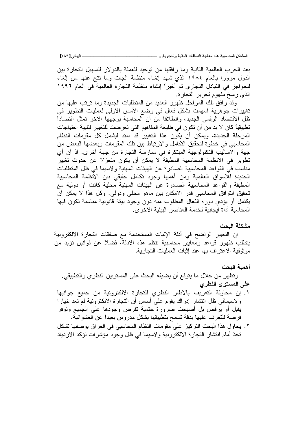**[ÎÕÐ] ƑřœƒŕƃŒººººººººººººººººººººººººººº ...ŗƒŧœŞřƃŒƍŗƒƃœƆƃŒŘœƀŽŮƃŒŗŞƃœŶƆťƈŵŗƒŕŪœšƆƃŒ¾ƂœŬƆƃŒ**

بعد الحرب العالمية الثانية وما رافقها من نوحيد للعملة بالدولار لتسهيل التجارة بين الدول مرورًا بالعام ١٩٨٤ الذي شهد إنشاء منظمة الجات وما نتج عنها من إلغاء للحو اجز في التبادل التجاري ثم أخيراً انشاء منظمة التجارة العالمية في العام ١٩٩٦ الذي رسخ مفهوم تحرير التجارة.

وقد رافق تلك المراحل ظهور العديد من المتطلبات الجديدة وما نرنب عليها من تغييرات جوهرية اسهمت بشكل فعال في وضع الأسس الاولى لعمليات التطوير في ظل الافتصاد الرقمي الجديد، وانطلاقا من أن المحاسبة بوجهها الآخر نمثل افتصادا تطبيقياً كان لا بد من أن تكون في طليعة المفاهيم التي تعرضت للتغيير لتلبية احتياجات المرحلة الجديدة، ويمكن أن يكون هذا التغيير قد امتد ليشمل كل مقومات النظام المحاسبي في خطوة لتحقيق النكامل والارتباط بين تلك المقومات وبعضها البعض من جهة والاساليب التكنولوجية المبتكرة في ممارسة التجارة من جهة أخرى. اذ أن أي تطوير في الانظمة المحاسبية المطبقة لا يمكن أن يكون منعز لا عن حدوث تغيير مناسب في القواعد المحاسبية الصادرة عن الهيئات المهنية ولاسيما في ظل المتطلبات الجديدة للاسواق العالمية ومن أهمها وجود نكامل حقيقى بين الانظمة المحاسبية المطبقة والقواعد المحاسبية الصادرة عن الهيئات المهنية محلية كانت أو دولية مع تحقيق التوافق المحاسبي قدر الامكان بين ماهو محلي ودولي. وكل هذا لا يمكن أن يكتمل أو يؤدي دوره الفعال المطلوب منه دون وجود بيئة قانونية مناسبة تكون فيها المحاسبة أداة ايجابية لخدمة العناصر البيئية الاخر ى.

### مشكلة ال**ى**حث

إن التغيير الواضح في أدلة الإثبات المستخدمة مع صفقات التجارة الالكترونية يتطلب ظهور قواعد ومعابير محاسبية نتظم هذه الادلة، فضلاً عن قوانين نزيد من موثوقية الاعتر اف بها عند إثبات العمليات التجار ية.

# أهمبة البحث

وتظهر من خلال ما يتوقع أن يضيفه البحث على المستويين النظري والتطبيقي. على المستوى النظر*ى* 

- ٠. إن محاولة التعريف بالاطار النظري للتجارة الالكترونية من جميع جوانبها ولاسيمافي ظل انتشار إدراك يقوم على أساس أن النجارة الالكترونية لم تعد خيارا يقبل أو يرفض بل أصبحت ضرورة حتمية تفرض وجودها على الجميع وتوفر فرصة للتعرف عليها بدقة تسمح بتطبيقها بشكل مدروس بعيدا عن العشوائية.
- ٢ . يحاول هذا البحث التركيز على مقومات النظام المحاسبي في العراق بوصفها تشكل تحدَّ أمام انتشار التجارة الالكترونية ولاسيما في ظل وجود مؤشرات تؤكد الازدياد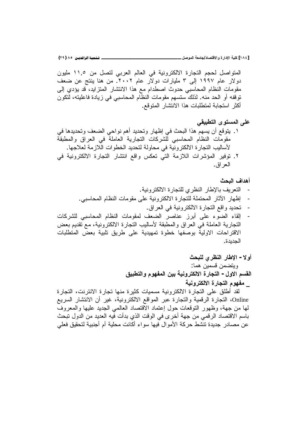[١٨٤] كلية الإدارة والاقتصاد/جامعة الموصل \_\_

المتواصل لحجم التجارة الالكترونية في العالم العربي لتصل من ١١,٥ مليون دولار عام ۱۹۹۷ إلى ۳ مليارات دولار عام ۲۰۰۲. من هنا بنتج عن ضعف مقومات النظام المحاسبي حدوث اصطدام مع هذا الانتشار المنزايد، قد يؤدي إلى توقفه أو الحد منه. لذلك ستسهم مقومات النظام المحاسبي في زيادة فاعليته، لتكون أكثر استجابة لمتطلبات هذا الانتشار المتوقع.

على المستوى التطبيقي ١ . يتوقع أن يسهم هذا البحث في إظهار وتحديد أهم نواحي الضعف وتحديدها في مقومات النظام المحاسبي للشركات النجارية العاملة في العراق والمطبقة لأساليب التجار ة الالكترونية في محاولة لتحديد الخطوات اللازمة لعلاجها . ٢. نوفير المؤشرات اللازمة التي تعكس واقع انتشار التجارة الالكترونية في الـعر اق ِ.

### أهداف البحث

- التعريف بالإطار النظري للتجارة الالكترونية.
- إظهار الأثار المحتملة للتجارة الالكترونية على مقومات النظام المحاسبي.
	- تحديد واقع التجارة الالكترونية في العراق.
- إلقاء الضوء على أبرز عناصر الضعف لمقومات النظام المحاسبي للشركات  $\overline{a}$ النجارية العاملة في العراق والمطبقة لأساليب النجارة الالكترونية، مع نقديم بعض الاقتراحات الاولية بوصفها خطوة تمهيدية على طريق تلبية بعض المتطلبات الجديدة.
	- أولا الإطار النظرى للبحث ويتضمن قسمين هما: القسم الاول – التجارة الالكترونية بين المفهوم والتطبيق \_ مفهوم التجارة الالكتر ونبة

لقد أطلق على التجارة الالكترونية مسميات كثيرة منها تجارة الانترنت، التجارة Online، النجارة الرقمية والنجارة عبر المواقع الالكترونية، غير أن الانتشار السريع لمها من جهة، وظهور النوقعات حول إعتماد الاقتصاد العالمي الجديد عليها والمعروف باسم الاقتصاد الرقمي من جهة أخر ى في الوقت الذي بدأت فيه العديد من الدول تبحث عن مصـادر جديدة تتشط حركة الأموال فيها سواء أكانت محلية أم أجنبية لتحقيق فعلى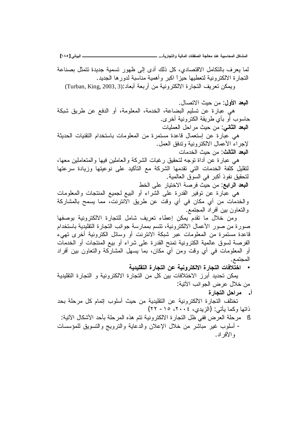لما يعرف بالتكامل الاقتصادي، كل ذلك أدى إلى ظهور تسمية جديدة تتمثل بصناعة التجارة الالكترونية لتعطيها حيزاً اكبر وأهمية مناسبة لدورها الجديد. ويمكن تعريف النجارة الالكترونية من أربعة أبعاد :(Turban, King, 2003, 3)

**البعد الأول**: من حيث الاتصال.

هي عبارة عن تسليم البضاعة، الخدمة، المعلومة، أو الدفع عن طريق شبكة حاسوب أو بأي طربقة الكتر ونبة أخر ي.

ا**لبعد الثاني**: من حيث مر احل العمليات

هي عبارة عن استعمال قاعدة مستمرة من المعلومات باستخدام التقنيات الحديثة لإجراء الأعمال الالكترونية وندفق العمل. ا**لبعد الثالث**: من حبث الخدمات

هي عبار ة عن أداة نوجه لتحقيق ر غبات الشركة و العاملين فيها و المتعاملين معها، لتقليل كلفة الخدمات التي نقدمها الشركة مع التأكيد على نوعيتها وزيادة سرعتها لتَحقيق نفو ذ أكبر \_في السو ق العالمية .

ا**لبعد الرابع**: من حيث فرصـة الاختيار على الخط

هي عبارة عن توفير القدرة على الشراء أو البيع لجميع المنتجات والمعلومات والخدمات من أي مكان في أي وقت عن طريق الانترنت، مما يسمح بالمشاركة والنعاون بين أفراد المجتمع.

ومن خلال ما نقدم يمكن إعطاء تعريف شامل للنجارة الالكترونية بوصفها صورة من صور الأعمال الالكترونية، تتسم بممارسة جوانب التجارة التقليدية باستخدام قاعدة مستمرة من المعلومات عبر شبكة الانترنت أو وسائل الكترونية أخرى تهيء الفرصة لسوق عالمية الكترونية تمنح القدرة على شراء أو بيع المنتجات أو الخدمات أو المعلومات في أي وقت ومن أيّ مكان، بما يسهل المشاركة والتعاون بين أفراد المجتمع.

• اختلافات التجار ة الالكترونية عن التجار ة التقليدية

بِمكن تحديد أبرز الاختلافات بين كل من التجارة الالكترونية و التجارة التقليدية من خلال عرض الجو انب الآتية:

أ. مرا**ح**ل التجارة

تختلف التجارة الالكترونية عن التقليدية من حيث أسلوب إتمام كل مرحلة بحد ذاتها وكما يأتي: (الزيدي، ٢٠٠٤، ١٥- ٢٢)

§ مرحلة العرض ففي ظل التجارة الالكترونية نتم هذه المرحلة بأحد الأشكال الآنية: - أسلوب غير مباشر من خلال الإعلان والدعاية والترويج والتسويق للمؤسسات و الأفر اد .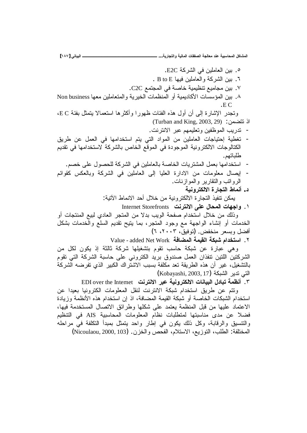0 . بين العاملين في الشر كة E2C. ٦. بين الشركة والعاملين فيها B to E . ٧. بين مجاميع تنظيمية خاصـة في المـجتمـع C2C. ٨. بين المؤسسات الأكاديمية أو المنظمات الخيرية والمتعاملين معها Non business .EC وتجدر الإشارة إلى أن أول هذه الفئات ظهورا وأكثرها استعمالا بتمثل بفئة E C، اذ نتضمن: (Turban and King, 2003, 29) - تدريب الموظفين وتعليمهم عبر الانترنت. تغطية إحتياجات العاملين من المواد التي يتم استخدامها في العمل عن طريق الكتالوجات الالكترونية الموجودة في الموقع الخاص بالشركة لاستخدامها في تقديم طلباتهم. استخدامها بعمل المشتريات الخاصة بالعاملين في الشركة للحصول على خصم. إيصال معلومات من الادارة العليا إلى العاملين في الشركة وبالعكس كقوائم الروانب والنقارير والموازنات. د . أنماط التجار ة الإلكتر و نبـة يمكن نتفيذ النجار ة الالكترونية من خلال أحد الانماط الأتية: ا . واجهات المحال على الانترنت Internet Storefronts وذلك من خلال استخدام صفحة الويب بدلا من المتجر العادي لبيع المنتجات أو الخدمات أو إنشاء الواجهة مع وجود المتجر، بما ينيح نقديم السلع والخدمات بشكل أفضل وبسعر منخفض. (توفيق، ٢٠٠٣، ٦)

٢. استخدام شبكة القيمة المضافة Value - added Net Work

وهي عبارة عن شبكة حاسب نقوم بتشغيلها شركة ثالثة إذ يكون لكل من الشركتين اللتين نتفذان العمل صندوق بريد الكتروني على حاسبة الشركة التي نقوم بالنشغيل، غير أن هذه الطريقة تعد مكلفة بسبب الاشتراك الكبير الذي تفرضه الشركة (Kobayashi, 2003, 17) التي تدبر الشبكة (

٣. أنظمة تبادل البيانات الالكترونية عبر الانترنت EDI over the Internet

ونتم عن طريق استخدام شبكة الانترنت لنقل المعلومات الكترونيا بعيدا عن استخدام الشبكات الخاصـة أو شبكة القيمة المضـافـة، اذ إن استخدام هذه الأنظمـة وزيـادة الاعتماد عليها من قبل المنظمة يعتمد على شكلها وطرائق الاتصال المستخدمة فيها، فضلا عن مدى مناسبتها لمتطلبات نظام المعلومات المحاسبية AIS في التنظيم والنتسبق والرقابة، وكل ذلك يكون في إطار واحد يتمثل بمبدأ النكلفة في مراحله المختلفة: الطلب، التوزيع، الاستلام، الفحص والخزن. (Nicoulaou, 2000, 103)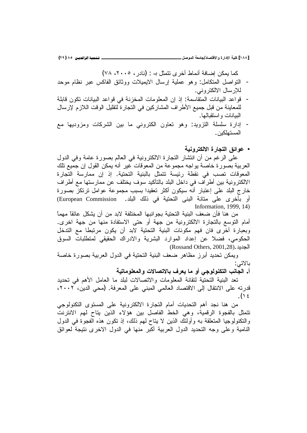[١٨٨] كلية الإدارة والاقتصاد/جامعة الموصل \_

ـ تـــُمية الرافديــن ٨٥ (٢٩)

كما يمكن إضافة أنماط أخر ي نتمثل بــ : (نادر ، ٢٠٠٥، ٧٨)

- النَّواصل المتكامل: وهو عملية إرسال الايميلات ووثائق الفاكس عبر نظام موحد للإرسال الالكتروني.
- قواعد البيانات المتقاسمة: إذ إن المعلومات المخزنة في قواعد البيانات تكون قابلة  $\overline{a}$ للمعاينة من قبل جميع الأطراف المشاركين في النجارة لتقليل الوقت اللازم لإرسال البيانات واستقبالها.
- إدارة سلسلة التزويد: وهو تعاون الكتروني ما بين الشركات ومزوديها مع  $\overline{a}$ المستهلكبن .
	- عوائق التجارة الالكترونية

علَّـي الرغم من أن انتشار التجارة الالكترونية فـي العالم بصورة عامةً وفـي الدول العربية بصورة خاصة يواجه مجموعة من المعوقات غير أنه يمكن القول إن جميع تلك المعوقات تصب في نقطة رئيسة نتمثل بالبنية التحتية. إذ إن ممارسة التجارة الالكترونية بين أطراف في داخل البلد بالتأكيد سوف يختلف عن ممارستها مع أطراف خارج البلد على إعتبار أنه سيكون أكثر تعقيدا بسبب مجموعة عوامل ترتكز بصورة أو بأخرى علَّى متانة البنى التحتية في ذلك البلد. European Commission) Information, 1999, 14)

من هنا فأن ضعف البنية التحتية بجوانبها المختلفة لابد من أن يشكل عائقاً مهماً أمام النوسع بالنجارة الالكترونية من جهة أو حتى الاستفادة منها من جهة اخرى. وبعبارة أخُرى فان فهم مكونات البنية التحتية لابد أن يكون مرتبطا مع التدخل الحكومي، فضلا عن إعداد الموارد البشرية والادراك الحقيقي لمنظلبات السوق (Rossand Others, 2001,28). الجديد

ويمكن تحديد أبرز مظاهر ضعف البنية التحتية في الدول العربية بصورة خاصة بالاتي:

أ. الجانب التكنولوجي أو ما يعرف بالاتصالات والمعلوماتية

تعد البنية التحتية لتقانة المعلومات والاتصالات لبلد ما العامل الأهم في تحديد قدرته على الانتقال إلى الاقتصاد العالمي المبنى على المعرفة. (محى الدين، ٢٠٠٢،  $.() \xi$ 

من هنا نجد أهم النحديات أمام النجارة الالكترونية على المستوى النكنولوجي نتمثَّل بالفجوة الرقمية، وهي الخط الفاصل بين هؤلاء الذين يتاح لهم الانترنت والنكنولوجيا المتعلقة به وأولئك الذين لا يتاح لهم ذلك، إذ نكون هذه الفجوة في الدول النامية وعلى وجه التحديد الدول العربية أكبر منها في الدول الاخرى نتيجة لعوائق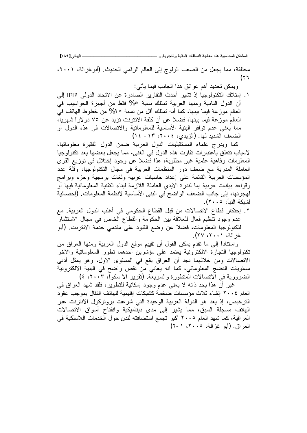**[ÎÕÖ] ƑřœƒŕƃŒººººººººººººººººººººººººººº ...ŗƒŧœŞřƃŒƍŗƒƃœƆƃŒŘœƀŽŮƃŒŗŞƃœŶƆťƈŵŗƒŕŪœšƆƃŒ¾ƂœŬƆƃŒ**

مختلفة، مما يجعل من الصعب الولوج إلى العالم الرقمي الحديث. (أبو غزالة، ٢٠٠١، (۲٦

ويمكن تحديد أهم عوائق هذا الجانب فيما يأتي:

١. إمتلاك التكنولوجيا إذ تشير أحدث النقارير الصادرة عن الاتحاد الدولي IFIP إلى أن الدول النامية ومنها العربية تمتلك نسبة 0% فقط من أجهزة الحواسيب في العالم موزعة فيما بينها، كما أنه تمتلك أقل من نسبة ٢٥% من خطوط الهاتف في العالم موزعة فيما ببنها، فضلا عن أن كلفة الانترنت نزيد عن ٧٥ دولاراً شهريا، مما يعني عدم توافر البنية الأساسية للمعلوماتية والاتصالات في هذه الدول أو الضعف الشديد لمها. (الزيدي، ٢٠٠٤، ١٣، ١٣)

كما ويدرج علماء المستقبليات الدول العربية ضمن الدول الفقيرة معلوماتيا، لاسباب نتعلق باعتبارات نفاوت هذه الدول في الغني، مما يجعل بعضها يعد تكنولوجيا المعلومات رفاهية علمية غير مطلوبة، هذا فضلا عن وجود إختلال في توزيع القوى العاملة المدربة مع ضعف دور المنظمات العربية في مجال النكنولوجيا، وقلة عدد المؤسسات العربية القائمة على إعداد حاسبات عربية ولغات برمجية وحزم وبرامج وقواعد بيانات عربية إما لندرة الايدي العاملة اللازمة لبناء التقنية المعلوماتية فيها أو لهجرتها، إلى جانب الضعف الواضح في البني الأساسية لانظمة المعلومات. (إحصائية لشبكة النبأ، ٢٠٠٥).

۲. إحتكار قطاع الاتصالات من قبل القطاع الحكومي في أغلب الدول العربية. مع عدم وجود نتظيم فعال للعلاقة بين الحكومة والقطاع الخاص في مجال الاستثمار لتكنولوجيا المعلومات، فضلا عن وضع القيود على مقدمي خدمة الانترنت. (أبو غز الـة، ٢٠٠١، ٢٧).

واستناداً إلى ما تقدم يمكن القول أن تقييم موقع الدول العربية ومنها العراق من تكنولوجيا النجارة الالكترونية يعتمد على مؤشرين أحدهما نطور المعلوماتية والأخر الاتصالات ومن خلالهما نجد أن العراق يقع في المستوى الاول، وهو يمثل أدنى مستويات النضج المعلوماتي، كما انه يعاني من نقص واضح في البنية الالكترونية الضرورية في الاتصالات المتطورة والسريعة. (تقرير الا سكواً، ٢٠٠٣، ٤)

غير أن هذا بحد ذاته لا يعني عدم وجود إمكانية للتطوير، فلقد شهد العراق في العام ٢٠٠٤ إنشاء ثلاث مؤسسات ضخمة كشبكات إقليمية للهاتف النقال بموجب عقود الترخيص، إذ يعد هو الدولة العربية الوحيدة التي شرعت بروتوكول الانترنت عبر الهاتف مسجلة السبق، مما يشير إلى مدى ديناميكية وانفتاح أسواق الاتصالات العر اقية، كما شهد العام ٢٠٠٥ أكبر تجمع استضافته لندن حول الخدمات اللاسلكية في العر اق (أيو غز الـة، ٢٠٠٥، ١-٢)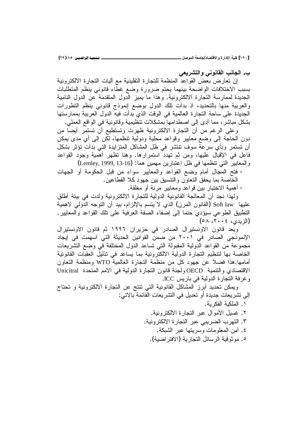[١٩٠] كلية الإدارة والاقتصاد/جامعة الموصل \_

ب. الجانب القانوني والتشريعي

إن تعارض بعض القواعد المنظمة للتجارة التقليدية مع أليات التجارة الالكترونية بسبب الاختلافات الواضحة بينهما يحتم ضرورة وضع غطاء قانوني ينظم المتطلبات الجديدة لممارسة التجارة الالكترونية. وهذا ما يميز الدول المتقدمة عن الدول النامية والعربية منها بالتحديد، اذ بدأت تلك الدول بوضع إنموذج قانوني ينظم التطورات الجديدة على ساحة التجارة العالمية في الوقت الذي بدأت فيه الدول العربية بممارستها بشكل مباشرٍ ، مما أدى إلى اصطدامها بمشكلات نتظيمية وقانونية في الواقع العملي.

وعلى الرغم من أن النجارة الالكترونية ظهرت وتستطيع أن نستمر أيضا من دون الحاجة إلى وضع معايير وقواعد محلية ودولية نتظمها، لكن إلى أي مدى يمكن أن تستمر وبأي سرعة سوف نتنشر في ظل المشاكل المنزايدة التي بدأت نؤثر بشكل فاعل في الإقبال عليها، ومن ثم تهدد استمرارها. وهنا نظهر أهمية وجود القواعد والمعايير التي نتظمها في ظل إعتبارين مهمين هما: (Lemley, 1999, 13-16)

- فتح المجال أمام وضع القواعد والمعايير سواء من قبل الحكومة أو الجهات الخاصة بما يحقق النعاون والنتسبق بين جهود كلا القطاعين.

– أهمية الاختيار بين قواعد ومعايير مرنة أو مغلقة.

ولهذا نجد أن المعالجة القانونية الدولية للتجارة الالكترونية ولدت في بيئة أطلق عليها Soft law (القانون المرن) الذي لا يتسم بالإلزام، بيد أن التوجه الدولمي لاهمية التطبيق الطوعي سيؤدي حتما إلى إضفاء الصفة العرفية على تلك القواعد والمعايير . (الزيدي، ٢٠٠٤، ٥٨)

ويعد قانون الاونستيرال الصادر في حزيران ١٩٩٦ ثم قانون الاونستيرال الإنموذجي الصادر في ٢٠٠١ من ضمن القوانين الحديثة التي اسهمت في إيجاد مجموعة من القواعد الدولية المقبولة التي تساعد الدول المختلفة في وضع التشريعات الخاصة بها لتنظيم التجارة الدولية الالكترونية بما يساعد في تذليل العقبات القانونية أمامها هذا فضلاً عن جهود كل من منظمة التجارة العالمية WTO ومنظمة التعاون الاقتصادي والنتمية OECD ولجنة قانون التجارة الدولية في الامم المتحدة Unicitral وغرفة التجارة الدولية في باريس ICC.

ويمكن تحديد أبرز المشاكل القانونية التي نتنج عن النجارة الالكترونية و تحتاج إلى نشريعات جديدة أو نعديل في النشريعات القائمة بالاتي:

- ١. الملكبة الفكر بة. ٢. غسبل الأموال عبر النجار ة الالكتر ونية. ٣. النهرب الضريبي عبر النجارة الالكترونية.
	- ٤. أمن المعلومات وسربتها عبر الشبكة.
	- ٥. مو ثو قبة الر سائل التجار بـة (الافتر اضبـة).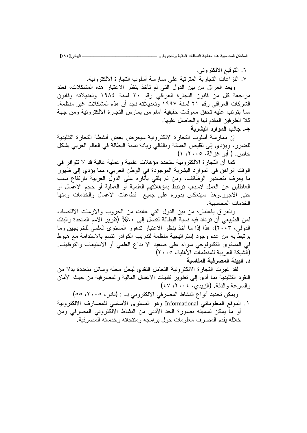٦. النوقيع الالكتروني. ٧. النز اعات التجارية المترتبة على ممارسة أسلوب التجارة الالكترونية.

ويعد العراق من بين الدول التبي لم تأخذ بنظر الاعتبار هذه المشكلات، فعند مراجعة كل من قانون التجارة العراقي رقم ٣٠ لسنة ١٩٨٤ وتعديلاته وقانون الشر كات العر اقى ر قم ٢١ لسنة ١٩٩٧ و تعديلاته نجد أن هذه المشكلات غير منظمة. مما يترتب عليه تحقق معوقات حقيقية أمام من يمارس التجارة الالكترونية ومن جهة كلا الطرفين المقدم لـها والـحاصل عليـها.

ج. جانب الموارد البشرية

إن ممارسة أسلوب التجارة الالكترونية سيعرض بعض أنشطة التجارة التقليدية للضرر، ويؤدي إلى نقليص العمالة وبالنالي زيادة نسبة البطالة في العالم العربي بشكل خاص. ( أبو غزالة، ٢٠٠٥، ١)

كما أن التجارة الالكترونية ستحدد مؤهلات علمية وعملية عالية قد لا تتوافر في الوقت الراهن في الموارد البشرية الموجودة في الوطن العربي، مما يؤدي إلى ظهور ما يعرف بتصديَّر الوظائف، ومن ثم يلقى بأثاره على الدولُّ العربية بارتفاع نسب العاطلين عن العمل لاسباب نرنبط بمؤهلاتهم العلمية أو العملية أو حجم الاعْمال أو حتى الاجور وهذا سينعكس بدوره على جميع قطاعات الاعمال والخدمات ومنها الخدمات المحاسبية.

والعراق باعتباره من بين الدول التبي عانت من الحروب والازمات الاقتصاد، فمن الطبيعي أن نزداد فيه نسبة البطالة لتصل إلى ٦٠% (تقرير الامم المتحدة والبنك الدولي، ٢٠٠٣)، هذا إذا ما أخذ بنظر الاعتبار تدهور المستوى العلمي للخريجين وما يرتبط به من عدم وجود إستراتيجية منظمة لتدريب الكوادر تتسم بالاستدامة مع هبوط في المستوى النكنولوجي سواء على صعيد الا بداع العلمي أو الاستيعاب والتوظيف. (الشبكة العربية للمنظمات الأهلية، ٢٠٠٥) د. البيئة المصرفية المناسبة

لقد غيرت النجارة الالكترونية التعامل النقدى ليحل محله وسائل متعددة بدلا من النقود النقليدية بما أدى إلى نطوير نقنيات الاعمال المالية والمصرفية من حيث الأمان والسرعة والدقة. (الزيدي، ٢٠٠٤، ٤٧)

ويمكن تحديد أنواع النشاط المصرفي الالكتروني بـ : (نادر ، ٢٠٠٥، ٥٥) ١. الموقع المعلوماتي Informational وهو المستوى الأساسي للمصارف الالكترونية أو ما يمكن تسميته بصورة الحد الأدنى من النشاط الالكتروني المصرفي ومن خلاله يقدم المصرف معلومات حول برامجه ومنتجاته وخدماته المصرفية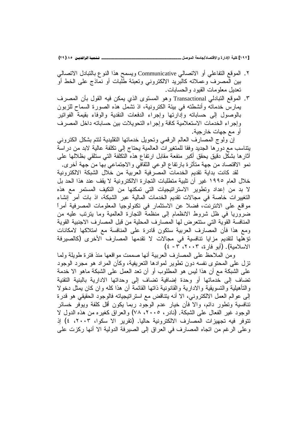[١٩٢] كلية الإدارة والاقتصاد/جامعة الموصل \_\_

- ٢. الموقع النفاعلي أو الاتصالي Communicative ويسمح هذا النوع بالنبادل الاتصالي بين المصرف وعملائه كالبريد الالكتروني ونعبئة طلبات أو نماذج على الخط أو تحديل معلومات القيود والحسابات.
- ٣. الموقع التبادلي Transactional و هو المستوى الذي يمكن فيه القول بأن المصرف بمارس خدماته وأنشطته فمي بيئة الكترونية، اذ نشمل هذه الصورة السماح للزبون بالوصول إلى حساباته وإدارتها وإجراء الدفعات النقدية والوفاء بقيمة الفواتير وإجراء الخدمات الاستعلامية كافة وإجراء التحويلات ببن حساباته داخل المصرف أو مع جهات خارجية.

إن ولوج المصارف العالم الرقمي وتحويل خدماتها التقليدية لنتم بشكل الكترونبي يتناسب مع دورها الجديد وفقا للمتغيرات العالمية يحتاج إلىي تكلفة عالية لابد من دراسة أثار ها بشكل دقيق بحقق أكبر منفعة مقابل ارتفاع هذه التكلفة التي ستلقى بظلالها على نمو الاقتصاد من جهة متأثرة بارتفاع الوعي الثقافي والاجتماعي بها من جهة أخرى.

لقد كانت بداية تقديم الخدمات المصرفية العربية من خلال الشبكة الالكترونية خلال العام ١٩٩٥ غير أن تلبية متطلبات التجارة الالكترونية لا يقف عند هذا الحد بل لا بد من إعداد وتطوير الاستراتيجيات التي تمكنها من التكيف المستمر مع هذه التغييرات خاصة في مجالات تقديم الخدمات المالية عبر الشبكة، اذ بات أمر إنشاء مواقع على الانترنت، فضلا عن الاستثمار في تكنولوجيا المعلومات المصرفية أمراً ضروَّريا في ظلِّ شروط الانظمام إلى منظمةٌ النجارة العالمية وما يترنب عليه من المنافسة القوية التي ستتعرض لها المصارف المحلية من قبل المصارف الاجنبية القوية ومع هذا فأن المصارف العربية ستكون قادرة على المنافسة مع امتلاكها لامكانات تؤهلها لتقديم مزايا تنافسية في مجالات لا تقدمها المصارف الأخرى (كالصيرفة الاسلامية). (أبو فارة، ٢٠٠٣، ٣- ٤)

ومن الملاحظ على المصارف العربية أنها صممت مواقعها منذ فترة طويلة ولما نزل على المحتوى نفسه دون نطوير لموادها النعريفية، وكأن المراد هو مجرد الوجود على الشبكة مع أن هذا ليس هو المطلوب أو أن تعد العمل على الشبكة ماهو الا خدمة تضاف إلى خدماتها أو وحدة إضافية تضاف إلى وحداتها الادارية بالبنية التقنية والتأهيلية والتسويقية والادارية والقانونية ذاتها القائمة أن هذا كله وان كان يمثل دخولا إلى عوالم العمل الالكتروني، الا أنه ينتاقض مع استراتيجياته فالوجود الحقيقي هو قدرة ننافسية ونطور دائم، والا فأن خيار عدم الوجود ربما يكون أقل كلفة ويوفر خسائر الوجود غير الفعال على الشبكة. (نادر ، ٢٠٠٥، ٧٨) والعراق كغيره من هذه الدول لا تتوفر فيه تجهيزات المصارف الالكترونية حاليا. (تقرير الا سكوا، ٢٠٠٣، ٤) إذ و على الر غم من اتجاه المصار ف في العر اق إلى الصير فة الدولية الا أنها ركز ت على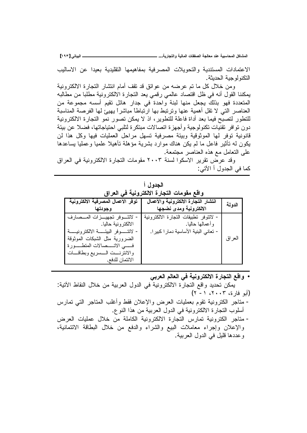الدولة

العراق

ـ البياتي [١٩٣]

نية

ار ف

- لاتتـــــوفر البيئـــــــة الالكتر ونيــــــة

الائتمان للدفع.

الضرورية مثل الشبكات الموثوقة فسي الاتــــصالات المتطــــورة والانترنست السسريع وبطاقسات

الاعتمادات المستندية والتحويلات المصرفية بمفاهيمها التقليدية بعيدا عن الاساليب التكنو لو جبــة الـحدبثـة .

ومن خلال كل ما تم عرضه من عوائق قد نقف أمام انتشار النجارة الالكترونية يمكننا القول أنه في ظل اقتصاد عالمي رقمي يعد التجارة الالكترونية مطلبا من مطالبه المتعددة فهو بذلك يجعل منها لبنة واحدة في جدار هائل تقيم أسسه مجموعة من العناصر التبي لا نقل أهمية عنها ونرنبط بها ارنباطاً مباشراً بـهيئ لمها الفرصة المناسبة للتطور لتصبح فيما بعد أداة فاعلة للتطوير ، اذ لا يمكن تصور نمو التجارة الالكترونية دون تو افر \_تقنيات تكنو لوجية و أجهز ة اتصـالات مبتكر ة لتلبي احتياجاتها، فضـلا عن بيئة قانونية نوفر لها الموثوقية وبيئة مصرفية نسهل مراحل العمليات فيها وكل هذا لن يكون له تأثير فاعل ما لم يكن هناك موارد بشرية مؤهلة تأهيلا علميا وعمليا بساعدها على النعامل مع هذه العناصر مجتمعة.

وقد عرض نقرير الاسكوا لسنة ٢٠٠٣ مقومات النجار ة الالكترونية في العراق كما في الجدول أ الأتي:

| المجلة في ا<br>واقع مقومات التجارة الالكترونية في العراق |                                       |  |  |  |
|----------------------------------------------------------|---------------------------------------|--|--|--|
| توفر الاعمال المصرفية الالكترو                           | انتشار التجارة الالكترونية والأعمال   |  |  |  |
| وجودتها                                                  | الالكترونية ومدى نضجها                |  |  |  |
| لاتتسوفر تجهيسزات المسصد                                 | - لانتوفر نطبيقات النجارة الالكترونية |  |  |  |
| الالكترونية حاليا.                                       | وأعمالها حاليا.                       |  |  |  |

i tasall

- واقع التجارة الالكترونية في العالم العربي يمكن تحديد واقع التجارة الالكترونية في الدول العربية من خلال النقاط الأتية:  $(1 - 1 \cdot 7 \cdot 7 \cdot 7 \cdot 6)$  (أبو فار ة) - مناجر الكترونية نقوم بعمليات العرض والإعلان فقط وأغلب المتاجر التبي تمارس أسلوب النجارة الالكترونية في الدول العربية من هذا النوع. - متاجر الكترونية تمارس التجارة الالكترونية الكاملة من خلال عمليات العرض والإعلان وإجراء معاملات البيع والشراء والدفع من خلال البطاقة الائتمانية،
	- وعددها قليل في الدول العربية.

– تعاني البنية الأساسية دمار ا كبير ا.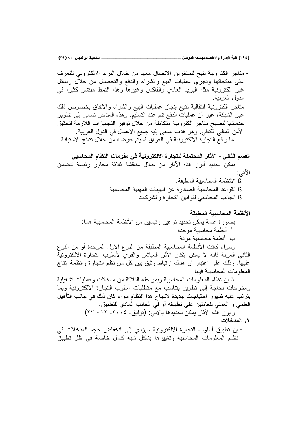[١٩٤] كلية الإدارة والاقتصاد/جامعة الموصل \_\_

ـ تـــُـمِيـة الرافديــن ٨٥ (٢٩)

- مناجر الكترونية نتيح للمشترين الاتصال معها من خلال البريد الالكتروني للتعرف على منتجاتها ونجري عمليات البيع والشراء والدفع والتحصيل من خلال رسائل غير الكترونية مثل البريد العادي والفاكس وغيرها وهذا النمط منتشر كثيرا في الدول العربية.

- مناجر الكترونية انتقالية نتيح إنجاز عمليات البيع والشراء والاتفاق بخصوص ذلك عبر الشبكة، غير أن عمليات الدفع نتم عند التسليم. وهذه المتاجر نسعى إلى نطوير خدماتها لتصبح متاجر الكترونية متكاملة من خلال توفير التجهيزات اللازمة لتحقيق الأمن المالي الكافي. و هو هدف تسعى إليه جميع الاعمال في الدول العربية. أما واقع النجارة الالكترونية في العراق فسيتم عرضه من خلال نتائج الاستبانة.

القسم الثاني– الآثار المحتملة للتجارة الالكترونية في مقومات النظام المحاسبي يمكنَ تحديد أبرز هذه الأثار من خلال مناقشة ثلاثة محاور رئيسة تتضمن الأتي: § الأنظمة المحاسبية المطبقة.

- § القو اعد المحاسبية الصـادر ة عن الـهبئات المـهنبة المـحاسبية . § الجانب المحاسبي لقوانين النجارة والشركات.
- الأنظمة المحاسبية المطبقة بصور ة عامة يمكن تحديد نو عين رئيسين من الأنظمة المحاسبية هما: أ. أنظمة محاسبية موحدة. ب. أنظمة محاسبية مرنة. وسواء كانت الأنظمة المحاسبية المطبقة من النوع الاول الموحدة أو من النوع

الثانـي المرنـة فانـه لا يمكن إنكار الأثر المباشر والقوى لأسلوب النجارة الالكترونية عليها. وذلك على اعتبار أن هناك ارتباط وثيق بين كل من نظم النجارة وأنظمة إنتاج المعلو مات المحاسبية فبها.

اذ إن نظام المعلومات المحاسبية وبمراحله الثلاثة من مدخلات وعمليات تشغيلية ومخرجات بحاجة إلى تطوير يتتاسب مع متطلبات أسلوب التجارة الالكترونية وبما يترتب عليه ظهور احتياجات جديدة لانجاح هذا النظام سواء كان ذلك في جانب التأهيل الْعَلْمَى و الْعَمْلِي لْلْعَامْلَيْنِ عْلَى نْطْبِيْقَهْ أَوْ فَى الْجَانْبِ الْمَادِي لْلْتَطْبِيقِ ـ وأبرز هذه الآثار بمكن تحديدها بالاتي: (توفيق، ٢٠٠٤، ١٢ – ٢٣)

- ١. المدخلات
- إن تطبيق أسلوب التجارة الالكترونية سيؤدي إلى انخفاض حجم المدخلات في نظام المعلومات المحاسبية وتغييرها بشكل شبه كامل خاصة في ظل تطبيق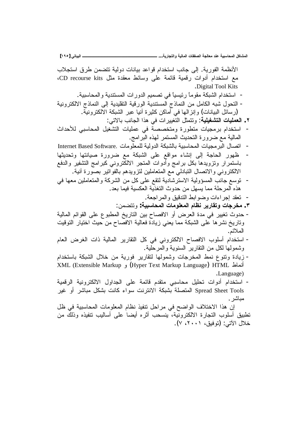الأنظمة الفورية. إلى جانب استخدام قواعد بيانات دولية نتضمن طرق استجلاب مع استخدام أدوات رفَّمية قائمة على وسائط معقدة مثل CD recourse kits، .Digital Tool Kits - استخدام الشبكة مقوماً رئيسياً في تصميم الدورات المستندية والمحاسبية. – التحول شبه الكامل من النماذج المستندية الورقية التقليدية إلى النماذج الالكترونية رسائل البيانات) وإنزالها في أماكن كثيرة أنيا عبر الشبكة الآلكترونية . :ƓśƛŕŗŖƊŕŠƅŔŔŨƍƓžŚŔũƔƔżśƅŔ¿ŝƈśśƏ :**ŗƒƄƒźŬřƃŒŘœƒƄƆŶƃŒ .Ï** استخدام برمجيات متطورة ومتخصصة في عمليات التشغيل المحاسبي للأحداث المالية مع ضرورة النحديث المستمر لمهذه البرامج. - اتصال البرمجيات المحاسبية بالشبكة الدولية للمعلومات .Internet Based Software ظهور الحاجة إلى إنشاء مواقع على الشبكة مع ضرورة صيانتها وتحديثها باستمرار ونزويدها بكل برامج وأدوات المتجر الالكتروني كبرامج التشفير والدفع الالكتروني والاتصال التبادلي مع المتعاملين لتزويدهم بالفواتير بصورة أنية. - نوسع جانب المسؤولية الاسترشادية لتقع على كل من الشركة والمتعاملين معها في هذه المرحلة مما يسهل من حدوث النغذية العكسية فيما بعد. تعقد إجراءات وضوابط التدقيق والمراجعة. :ƉƈŲśśƏ **:ŗƒŕŪœšƆƃŒŘœƆƍƄŶƆƃŒƅœŲƈŧƒŧœƀřƍŘœŞŧŤƆ .Ð** - حدوث تغيير في مدة العرض أو الافصاح بين التاريخ المطبوع على القوائم المالية وناريخ نشرها على الشبكة مما يعني زيادة فعالية الافصاح من حيث اختيار التوقيت الملائم. - استخدام أسلوب الافصاح الالكتروني في كل التقارير المالية ذات الغرض العام وشمولـها لكل من النقارير السنويـة والمرحلية. - زيادة ونتوع نمط المخرجات وشمولها لنقارير فورية من خلال الشبكة باستخدام KML (Extensible Markup و XML (Extensible Markup J .Language) - استخدام أدوات تحليل محاسبي متقدم قائمة على الجداول الالكترونية الرقمية Spread Sheet Tools المتصلة بشبكة الانترنت سواء كانت بشكل مباشر أو غير مباشر . إن هذا الاختلاف الواضح في مراحل نتفيذ نظام المعلومات المحاسبية في ظل تطبيق أسلوب التجارة الالكترونية، ينسحب أثره أيضا على أساليب تنفيذه وذلك من خلال الآتي: (توفيق، ٢٠٠١، ٧).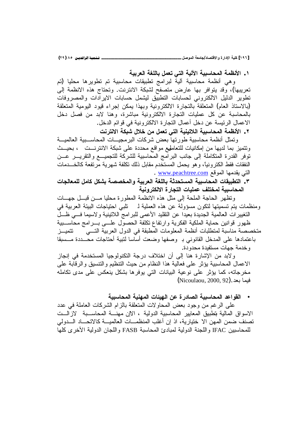[١٩٦] كلية الإدارة والاقتصاد/جامعة الموصل \_

١ . الأنظمة المحاسبية الآلية التي تعمل باللغة العربية

وهي أنظمة محاسبية ألية لبرامج نطبيقات محاسبية تم نطويرها محليا (تم تعريبها)، وقد يتوافر بها عارض متصفح لشبكة الانترنت. وتحتاج هذه الانظمة إلى تطوير الدليل الالكتروني لحسابات التطبيق ليشمل حسابات الايرادات والمصروفات (بالاستاذ العام) المتعلقة بالتجارة الالكترونية وبهذا يمكن إجراء قيود اليومية المتعلقة بالمحاسبة عن كل عمليات التجارة الالكترونية مباشرة، وهنا لابد من فصل دخل الاعمال الرئيسة عن دخل أعمال النجارة الالكترونية في قوائم الدخل.

٢ . الأنظمة المحاسبية اللاتينية التي تعمل من خلال شبكة الانترنت

ونمثل أنظمة محاسبية طورتها بعض شركات البرمجيـــات المحاســـبية العالميـــة ونتميز بما لديها من إمكانيات للتعاملهع مواقع محددة على شبكة الانترنـــت ، بحيـــث نوفر القدرة المنكاملة إلى جانب البرامج المحاسبية للشركة للتجميـــع والتقريـــر عـــن النفقات فقط الكترونيا، وهو يحمل المستخدم مقابل ذلك نكلفة شهرية مرتفعة كالخـــدمات التي يقدمها الموقع <u>www.peachtree.com</u> .

٣. التطبيقات المحاسبية المستحدثة باللغة العربية والمخصصة بشكل كامل للمعالجات المحاسبية لمختلف عمليات التجار ة الالكتر ونبة

وتظهر الحاجة الملحة إلى مثل هذه الانظمة المطورة محليا مـــن قبـــل جهـــات ومنظمات يتم تسميتها لتكون مسؤولة عن هذه العملية لـ تلبي احتياجات البيئة العربية في التغييرات العالمية الجديدة بعيدا عن النقليد الأعمى للبرامج اللاتينية ولاسيما فسي ظـــل ظهور قوانين حماية الملكية الفكرية وارتفاع نكلفة الحصول علسى بسرامج محاسسبية متخصصة مناسبة لمنطلبات أنظمة المعلومات المطبقة في الدول العربية التـــى تتمبــز باعتمادها على المدخل القانوني بـ وصفها وضعت أساسا لنبية أحتاجات محــددة مــسبقا وخدمة جهات مستفيدة محدودة.

ولابد من الإشارة هنا إلى أن اختلاف درجة التكنولوجيا المستخدمة في إنجاز الاعمال المحاسبية يؤثر على فعالية هذا النظام من حيث الننظيم والنتسيق والرقابة على مخرجاته، كما يؤثر على نوعية البيانات التي يوفرها بشكل ينعكس على مدى تكامله (Nicoulaou, 2000, 92). فيما بعد

• القواعد المحاسبية الصادر ة عن الهيئات المهنية المحاسبية

على الرغم من وجود بعض المحاولات المتعلقة بالزام الشركات العاملة في عدد الاسواق المالية بتطبيق المعايير المحاسبية الدولية ، الاإن مهنـــة المحاســـبة لاز الـــت تصنف ضمن المهن الا ختيارية، اذ إن أغلب المنظمـــات العالميــــة كالاتحــــاد الــــدولمي للمحاسبين IFAC و اللجنة الدولية لمبادئ المحاسبة FASB و اللجان الدولية الأخر ي كلها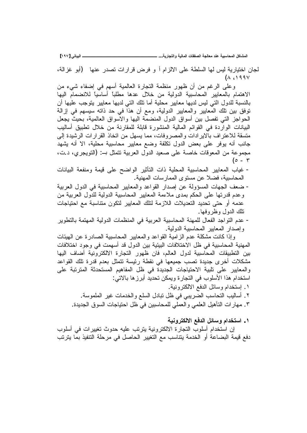**[ÎÖÔ] ƑřœƒŕƃŒººººººººººººººººººººººººººº ...ŗƒŧœŞřƃŒƍŗƒƃœƆƃŒŘœƀŽŮƃŒŗŞƃœŶƆťƈŵŗƒŕŪœšƆƃŒ¾ƂœŬƆƃŒ**

لجان اختيارية ليس لها السلطة على الالزام أ و فرض قرارات تصدر عنها (أبو غزالة،  $(\wedge$  (1998)

وعلمي الرغم من أن ظهور منظمة التجارة العالمية أسهم في إضفاء شيء من الاهتمام بالمعابير المحاسبية الدولية من خلال عدها مطلبا أساسيا للانضمام اليها بالنسبة للدول التي ليس لديها معابير محلية أما نلك التي لديها معايير يتوجب عليها أن توفق بين تلك المعايير والمعايير الدولية، ومع أن هذا في حد ذاته سيسهم في إزالة الحو اجز التي تفصل بين أسواق الدول المنضمة اليها و الاسواق العالمية، بحيث يجعل البيانات الواردة في القوائم المالية المنشورة قابلة للمقارنة من خلال تطبيق أساليب متسقة للاعتراف بالايرادات والمصروفات، مما يسهل من اتخاذ القرارات الرشيدة إلى جانب أنه يوفر على بعض الدول نكلفة وضع معايير محاسبية محلية، الا أنه يشهد مجموعة من المعوفات خاصة على صعيد الدول العربية نتمثل بـ: (التويجري، د.ت،  $(\circ$  -  $\mathsf{r}$ 

- غياب المعايير المحاسبية المحلية ذات التأثير الواضح على قيمة ومنفعة البيانات المحاسبية، فضلا عن مستوى الممارسات المهنية.
- ضعف الجهات المسؤولة عن إصدار القواعد والمعابير المحاسبية في الدول العربية وعدم قدرتها على الحكم بمدى ملاءمة المعابير المحاسبية الدولية للدول العربية من عدمه أو حتى تحديد التعديلات اللازمة لتلك المعابير لتكون متناسبة مع احتياجات نلك الدول وظر وفها.
- عدم التواجد الفعال للمهنة المحاسبية العربية في المنظمات الدولية المهتمة بالتطوير وإصدار المعابير المحاسبية الدولية.

وإذا كانت مشكلة عدم الزامية القواعد والمعايير المحاسبية الصادرة عن الهيئات المهنية المحاسبية في ظل الاختلافات البيئية بين الدول قد أسهمت في وجود اختلافات بين التطبيقات المحاسبية لدول العالم، فان ظهور التجارة الالكترونية أضاف اليها مشكلات أخرى جديدة تصب جميعها في نقطة رئيسة نتمثل بعدم قدرة تلك القواعد والمعايير على تلبية الاحتياجات الجديدة في ظل المفاهيم المستحدثة المترتبة على استخدام هذا الأسلوب في التجارة ويمكن تحديد أبرزها بالاتي: ١. إستخدام وسائل الدفع الالكترونية.

- ۲ . أساليب التحاسب الضريبي في ظل تبادل السلع والخدمات غير الملموسة . ٣. مهار ات التأهيل العلمي و العملي للمحاسبين في ظل احتياجات السوق الجديدة.
	- **ŗƒƈƍŧřƂƃƙŒŴżťƃŒ¾őœŪƍƅŒťŤřŪŒ .Î**

إن استخدام أسلوب التجارة الالكترونية يترتب عليه حدوث تغييرات في أسلوب دفع قيمة البضاعة أو الخدمة يتناسب مع التغيير الحاصل في مرحلة التنفيذ بما يترتب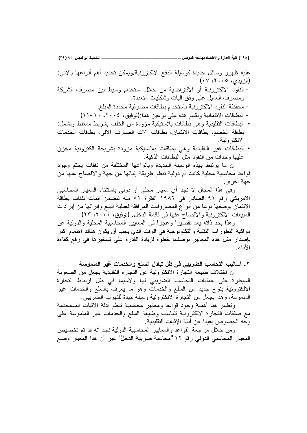عليه ظهور وسائل جديدة كوسيلة الدفع الالكترونية ويمكن تحديد أهم أنواعها بالاتبي: (الزيدي، ٢٠٠٥، ٤٧) - النقود الالكترونية أو الافتراضية من خلال استخدام وسيط بين مصرف الشركة

- ومصرف العميل علىى وفق أليات وشكليات متعددة.
- محفظة النقود الالكترونية باستخدام بطاقات مصرفية محددة المبلغ.
- البطاقات الائتمانية وتقسم هذه على نوعين هما:(توفيق، ٢٠٠٤، ١٠-١١)
- البطاقات النقليدية وهي بطاقات بلاستيكية مزودة من الخلف بشريط ممغنط وتشمل: بطاقة الخصم، بطاقات الائتمان، بطاقات آلات الصارف الالي، بطاقات الخدمات الالكتر ونية .
- البطاقات غير التقليدية وهي بطاقات بلاستيكية مزودة بشريحة الكترونية مخزن عليها وحدات من النقود مثل البطاقات الذكية.

إن ما يرتبط بهذه الوسيلة الجديدة وبأنواعها المختلفة من نفقات يحتم وجود قواعد محاسبية محلية كانت أم دولية تنظم طريقة إثباتها من جهة والافصاح عنها من جهة أخر ي.

وفي هذا المجال لا نجد أي معيار محلي أو دولي باستثناء المعيار المحاسبي الامريكي رقم ٩١ الصادر في ١٩٨٦ الفقرة ٥١ منه نتضمن إثبات نفقات بطاقة الائتمان بوصفها نوعاً من أنواع المصروفات المرافقة لعملية البيع وإنزالها من إيرادات المبيعات الالكترونية والافصـاح عنـها في قائمة الدخل. (توفيق، ٢٠٠٤، ٢٣)

وهذا بحد ذاته يعد تقصيراً وعجزاً في المعايير المحاسبية المحلية والدولية عن مواكبة النطورات النقنية والنكنولوجية في الوقت الذي يجب أن يكون هناك اهتمام أكبر بإصدار مثل هذه المعايير بوصفها خطوة لزيادة القدرة على تسخيرها في رفع كفاءة الأداء.

٢ . أساليب التحاسب الضريبي في ظل تبادل السلع والخدمات غير الملموسة

إن اختلاف طبيعة التجار ة الالكتر ونية عن التجار ة التقليدية يجعل من الصعوبة السيطرة على عمليات التحاسب الضريبي لها ولاسيما في ظل ارتباط التجارة الالكترونية بنوع جديد من السلع والخدمات وهو ما يعرف بالسلع والخدمات غير الملموسة، وهذا يجعل من النجارة الالكترونية وسيلة جيدة للتهرب الضّريبي.

ونظهر هنا أهمية وجود قواعد ومعابير محاسبية نتظم أدلة الاثبات المستخدمة مع صفقات النجارة الالكترونية تتناسب وطبيعة السلع والخدمات غير الملموسة على وجه الخصوص بعيدا عن أدلة الإثبات التقليدية.

ومن خلال مراجعة القواعد والمعايير المحاسبية الدولية نجد أنه قد تم تخصيص المعيار المحاسبي الدولي رقم ١٢ "محاسبة ضريبة الدخل" غير أن هذا المعيار وضع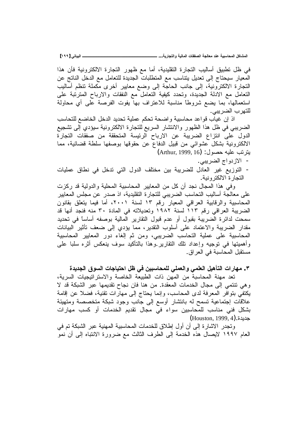**[ÎÖÖ] ƑřœƒŕƃŒººººººººººººººººººººººººººº ...ŗƒŧœŞřƃŒƍŗƒƃœƆƃŒŘœƀŽŮƃŒŗŞƃœŶƆťƈŵŗƒŕŪœšƆƃŒ¾ƂœŬƆƃŒ**

في ظل نطبيق أساليب التجارة التقليدية، أما مع ظهور التجارة الالكترونية فأن هذا المعيار سيحتاج إلى تعديل يتناسب مع المتطلبات الجديدة للتعامل مع الدخل الناتج عن النجارة الالكترونية، إلى جانب الحاجة إلى وضع معايير أخرى مكملة نتظم أساليب التعامل مع الادلة الجديدة، وتحدد كيفية التعامل مع النفقات والارباح المترتبة على استعمالها، بما يضع شروطًا مناسبة للاعتراف بها يفوت الفرصة على أي محاولة للتهرب الضريب*ي.* 

اذ إن غياب قواعد محاسبية واضحة تحكم عملية تحديد الدخل الخاضع للتحاسب الضريبي في ظل هذا الظهور والانتشار السريع للتجارة الالكترونية سيؤدي إلى تشجيع الدول على انتزاع الضريبة عن الارباح الرئيسة المتحققة من صفقات التجارة الالكترونية بشكل عشوائي من قبيل الدفاع عن حقوقها بوصفها سلطة قضائية، مما يترنب عليه حصول: (Arthur, 1999, 16)

- الازدواج الضربيبي.

- التوزيع غير العادل للضريبة بين مختلف الدول التي تدخل في نطاق عمليات التجار ة الالكتر ونية.

وفي هذا المجال نجد أن كل من المعابير المحاسبية المحلية والدولية قد ركزت على معالجة أساليب التحاسب الضريبي للتجارة التقليدية، اذ صدر عن مجلس المعايير المحاسبية والرقابية العراقي المعيار رقم ١٣ لسنة ٢٠٠١، أما فيما يتعلق بقانون الضريبة العراقي رقم ١١٣ لسنة ١٩٨٢ وتعديلاته في المادة ٣٠ منه فنجد أنها قد سمحت لدائرة الضريبة بقبول أو عدم قبول النقارير المالية بوصفه أساساً في تحديد مقدار الضريبة والاعتماد على أسلوب النقدير، مما يؤدي إلى ضعف تأثير البيانات المحاسبية على عملية التحاسب الضريبي، ومن ثم إلغاء دور المعايير المحاسبية واهميتها في توجيه وإعداد نلك النقارير وهذا بالتاكيد سوف ينعكس اثره سلبا على مستقبل المحاسبة في العراق.

**ŖťƒťŞƃŒžƍŪƃŒŘœŞœƒřšŒ¾ŲƑżƇƒŕŪœšƆƄƃƑƄƆŶƃŒƍƑƆƄŶƃŒ ¾ƒƋŋřƃŒŘŒŧœƌƆ .Ð**

تعد مهنة المحاسبة من المهن ذات الطبيعة الخاصة والاستراتيجيات السرية، وهي نتتمي إلى مجال الخدمات المعقدة. من هنا فان نجاح نقديمها عبر الشبكة قد لا بكتفي بنوافر المعرفة لدى المحاسب، وإنما يحتاج إلى مهارات نقنية، فضلا عن إقامة علاقات إجتماعية تسمح له بانتشار أوسع إلى جانب وجود شبكة متخصصة ومتهيئة بشكل فني مناسب للمحاسبين سواء في مجال تقديم الخدمات او كسب مهارات  $(Houston, 1999, 4)$ .خدیدة

وتجدر الاشارة إلى أن أول إطلاق للخدمات المحاسبية المهنية عبر الشبكة تم في العام ١٩٩٧ لايصال هذه الخدمة إلى الطرف الثالث مع ضرورة الانتباه إلى أن نمو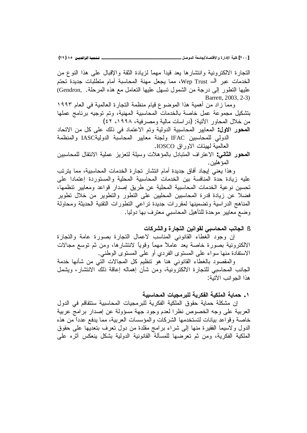[٢٠٠] كلية الإدارة والاقتصاد/جامعة الموصل \_\_

ـ تـــُـمِيـة الرافديــن ٨٥ (٢٩)

النجارة الالكترونية وانتشارها يعد قيداً مهماً لزيادة الثقة والإقبال على هذا النوع من الخدمات عبر الــ Wep Trust، مما يجعل مهنة المحاسبة أمام متطلبات جديدة تحتم عليها النطور إلى درجة من الشمول تسهل عليها النعامل مع هذه المرحلة. ,Gendron) Barrett, 2003, 2-3)

ومما زاد من أهمية هذا الموضوع قيام منظمة التجارة العالمية في العام ١٩٩٣ بتشكيل مجموعة عمل خاصة بالخدمات المحاسبية المهنية، وتم توجيه برنامج عملها من خلال المحاور الآتية: (در اسات مالية ومصر فية، ١٩٩٨، ٤٢)

**المحور الاول**: المعايير المحاسبية الدولية وتم الاعتماد في ذلك على كل من الاتحاد الدولي للمحاسبين IFAC ولجنة معايير المحاسبة الدوليةIASC والمنظمة العالمية لمهيئات الاور اق IOSCO.

المحور الثاني: الاعتراف المتبادل بالمؤهلات وسيلة لتعزيز عملية الانتقال للمحاسبين المؤ هلين.

و هذا يعني إيجاد أفاق جديدة أمام انتشار تجارة الخدمات المحاسبية، مما يترتب عليه زيادة حدة المنافسة بين الخدمات المحاسبية المحلية والمستوردة إعتمادا على تحسين نوعية الخدمات المحاسبية المحلية عن طريق إصدار قواعد ومعايير نتظمها، فضلا عن زيادة قدرة المحاسبين المحلبين على النطور والنطوير من خلال نطوير المناهج الدراسية ونضمينها لمقررات جديدة نراعى النطورات النقنية الحديثة ومحاولة وضع معايير موحدة للنأهيل المحاسبي معترف بها دوليا.

## § الجانب المحاسبي لقوانين التجارة والشركات

إن وجود الغطاء القانوني المناسب لاعمال النجارة بصورة عامة والنجارة الالكترونية بصورة خاصة يعد عاملاً مهماً وقوياً لانتشارها، ومن ثم توسع مجالات الاستفادة منها سواء على المستوى الفردي أو على المستوى الوطنبي.

والمقصود بالغطاء القانوني هنا هو نتظيم كل المجالات التبي من شأنها خدمة الجانب المحاسبي للتجارة الالكترونية، ومن شأن إهماله إعاقة ذلك الانتشار، ويشمل هذا الجو انب الآتية:

# ١ . حماية الملكية الفكرية للبر مجيات المحاسبية

إن مشكلة حماية حقوق الملكية الفكرية للبرمجيات المحاسبية ستتفاقم في الدول العربية على وجه الخصوص نظرا لعدم وجود جهة مسؤولة عن إصدار برامج عربية خاصة وقواعد بيانات لتستخدمها الشركات والمؤسسات العربية، مما يدفع عدداً من هذه الدول ولاسيما الفقيرة منها إلى شراء برامج مقلدة من دول نعرف بتعديها على حقوق الملكية الفكرية، ومن ثم تعرضها للمسألة القانونية الدولية بشكل ينعكس أثره على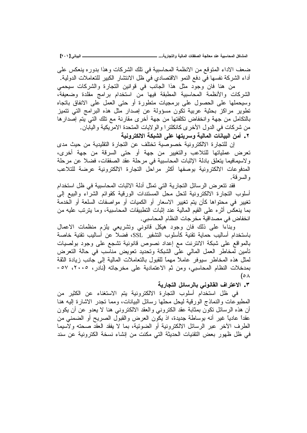**[ÏÍÎ] ƑřœƒŕƃŒººººººººººººººººººººººººººº ...ŗƒŧœŞřƃŒƍŗƒƃœƆƃŒŘœƀŽŮƃŒŗŞƃœŶƆťƈŵŗƒŕŪœšƆƃŒ¾ƂœŬƆƃŒ**

ضعف الاداء المتوقع من الانظمة المحاسبية في نلك الشركات وهذا بدوره ينعكس على أداء الشركة نفسها في دفع النمو الاقتصادي في ظل الانتشار الكبير للتعاملات الدولية.

من هنا فان وجود مثل هذا الجانب في قوانين التجارة والشركات سيحمى الشركات والأنظمة المحاسبية المطبقة فيها من استخدام برامج مقلدة وضعيفة، وسيحملها على الحصول على برمجيات منطورة أو حتى العمل على الانفاق باتجاه تطوير مراكز بحثية عربية تكون مسؤولة عن إصدار مثل هذه البرامج التي تتميز بالنكامل من جهة وانخفاض نكلفتها من جهة أخرى مقارنة مع نلك التبي يتم إصدارها من شركات في الدول الأخرى كانكلترا والولايات المتحدة الامريكية واليابان.

**ŗƒƈƍŧřƂƃƙŒŗƂŕŬƃŒƏƄŵ œƌřƒŧŪƍŗƒƃœƆƃŒ ŘœƈœƒŕƃŒƇƆŊ .Ï**

إن للتجار ة الإلكتر ونبة خصوصبة تختلف عن التجار ة التقلبدية من حبث مدى تعرض عملياتها للتلاعب والتغيير من جهة أو حتى السرقة من جهة أخرى، ولاسيمافيما يتعلق بادلة الإثبات المحاسبية في مرحلة عقد الصفقات، فضلا عن مرحلة المدفوعات الالكترونية بوصفها أكثر مراحل التجارة الالكترونية عرضة للتلاعب و السر قة.

فقد نتعرض الرسائل التجارية التي تمثل أدلة الاثبات المحاسبية في ظل استخدام أسلوب التجارة الالكترونية لتحل محل المستندات الورقية كقوائم الشراء والبيع إلى تغيير في محتواها كأن يتم تغيير الاسعار أو الكميات أو مواصفات السلعة أو الخدمة بما ينعكس أثره على القيم المالية عند إثبات التطبيقات المحاسبية، وما يترتب عليه من انخفاض في مصداقية مخرجات النظام المحاسبي.

وبناءا على ذلك فان وجود هيكل قانوني وتشريعي يلزم منظمات الاعمال باستخدام أساليب حماية تقنية كأسلوب التشفير SSL، فضلا عن أساليب تقنية خاصة بالمواقع على شبكة الانترنت مع إعداد نصوص قانونية تشجع على وجود بولصيات تأمين لمخاطر العمل المالي على الشبكة وتحديد تعويض مناسب في حالة التعرض لمثل هذه المخاطر سيوفر عاملاً مهماً للقبول بالنعاملات المالية إلى جانب زيادة الثقة بمدخلات النظام المحاسبي، ومن ثم الاعتمادية على مخرجاته (نادر، ٢٠٠٥، ٥٧-(  $\circ \wedge$ 

# **ŗƒŧœŞřƃŒ¾őœŪŧƃœŕƑƈƍƈœƀƃŒŻŒŧřŵƙŒ .Ð**

في ظل استخدام أسلوب النجارة الالكترونية يتم الاستغناء عن الكثير من المطبو عات و النماذج الور قية ليحل محلها ر سائل البيانات، و مما تجدر الاشار ة اليه هنا ان هذه الرسائل تكون بمثابة عقد الكتروني والعقد الالكترونـي هنا لا يعدو عن ان يكون عقداً عادياً غير أنه بوساطة جديدة، اذ يكون العرض والقبول الصريح أو الضمنى من الطرف الأخر عبر الرسائل الالكترونية أو الضوئية، بما لا يفقد العقد صحته ولاسيما في ظل ظهور بعض التقنيات الحديثة التي مكنت من إنشاء نسخة الكترونية عن سند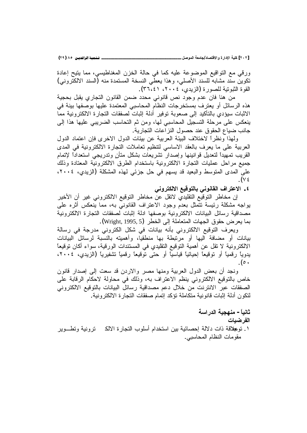**(ÏÖ) ÕÒ ÞNë¢Ë¦×ìÜàN**6666666666666666666666666666666666666666666666666666666666666666666666666666666666666666666666666666666666**¾ŮƍƆƃŒŗŶƆœŞ/ťœŮřſƙŒƍ ŖŧŒťƗŒŗƒƄƂ [ÏÍÏ]**

ورقي مع التواقيع الموضوعة عليه كما في حالة الخزن المغناطيسي، مما يتيح إعادة نكوين سُنّد مشابهُ للسند الأصلي، وهذا يعطي النسخة المستمدة منه (السند الالكتروني) القوة الثبوتية للصورة (الزيدي، ٢٠٠٤، ٣٦،٤١).

من هنا فان عدم وجود نص قانوني محدد ضمن القانون التجاري يقبل بحجية هذه الرسائل أو يعترف بمستخرجات النظام المحاسبي المعتمدة عليها بوصفها بينة في الاثبات سيؤدي بالتأكيد إلى صعوبة توفير أدلة إثبات لصفقات التجارة الالكترونية مما ينعكس على مرحلة التسجيل المحاسبي لمها، ومن ثم التحاسب الضريبي عليها هذا إلى جانب ضباع الحقوق عند حصول النز اعات التجارية.

ولِهذا ونظراً لاختلاف البيئة العربية عن بيئات الدول الاخرى فإن اعتماد الدول العربية على ما يعرف بالعقد الاساسى لنتظيم تعاملات النجارة الالكترونية في المدى القريب نمهيدا لنعديل قوانينها وإصدار نشريعات بشكل متأن وندريجي استعدادا لإتمام جميع مراحل عمليات التجارة الالكترونية باستخدام الطرق الالكترونية المعتادة وذلك على المدى المتوسط والبعيد قد يسهم في حل جزئي لهذه المشكلة (الزيدي، ٢٠٠٤، . (V  $\epsilon$ 

**ƑƈƍŧřƂƃƙŒŴƒſƍřƃœŕƑƈƍƈœƀƃŒŻŒŧřŵƙŒ .Ñ**

إن مخاطر التوقيع التقليدي لاتقل عن مخاطر التوقيع الالكتروني غير أن الأخير يواجه مشكلة رئيسة نتمثل بعدم وجود الاعتراف القانوني به، مما ينعكس أثره على مصداقية رسائل البيانات الالكترونية بوصفها ادلة إثبات لصفقات التجارة الالكترونية بما يعرض حقوق الجهات المتعاملة إلى الخطر (Wright, 1995, 5).

ويعرف التوقيع الالكتروني بأنه بيانات في شكل الكتروني مدرجة في رسالة بيانات أو مضافة اليها أو مرتبطة بها منطقيا، وأهميته بالنسبة لرسائل البيانات الالكترونية لا تقل عن أهمية التوقيع التقليدي في المستندات الورقية، سواء أكان توقيعا يدويا رقمياً أو توقيعاً إحيائياً قياسياً أو حتى توقيعاً رقمياً تشفيرياً (الزيدي، ٢٠٠٤، . ( $\circ$   $\cdot$ 

ونجد أن بعض الدول العربية ومنها مصر والاردن قد سعت إلىي إصدار قانون خاص بالتوقيع الالكتروني ينظم الاعتراف به، وذلك في محاولة لاحكام الرقابة على الصفقات عبر الانترنت من خلال دعم مصداقية رسائل البيانات بالتوقيع الالكتروني لنكون أدلة إثبات قانونية متكاملة تؤكد إتمام صفقات التجارة الالكترونية.

# **ŗŪŒŧťƃŒ ŗƒŞƌƈƆ -Ĺœƒƈœś**

#### الفر **ضب**ات

١. نوعِلاقة ذات دلالة إحصائية بين استخدام أسلوب النجارة الالك نرونية ونطـــوير مقومات النظام المحاسبي.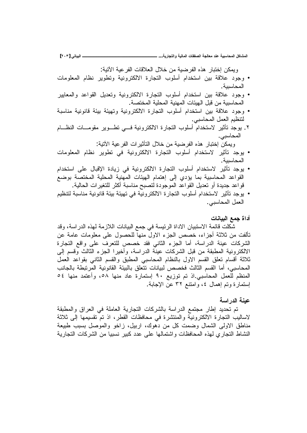ويمكن إختبار هذه الفرضية من خلال العلاقات الفر عبة الآتبة:

- وجود علاقة بين استخدام أسلوب التجارة الالكترونية وتطوير نظام المعلومات المحاسبية .
- وجود علاقة بين استخدام أسلوب التجارة الالكترونية وتعديل القواعد والمعايير المحاسبية من قبل الهيئات المهنية المحلية المختصة.
- وجود علاقة بين استخدام أسلوب التجارة الالكترونية وتهيئة بيئة قانونية مناسبة لنتظيم العمل المحاسبي.
- ۲. يوجد تأثير لاستخدام أسلوب التجارة الالكترونية فـــى تطـــوير مقومـــات النظـــام المحاسبي.

وبمكن إختبار هذه الفرضية من خلال التأثير ات الفر عية الآتية:

- يوجد تأثير لاستخدام أسلوب التجارة الالكترونية في تطوير نظام المعلومات المحاسسة .
- يوجد تأثير لاستخدام أسلوب التجارة الالكترونية في زيادة الإقبال على استخدام القواعد المحاسبية بما يؤدي إلى إهتمام الهيئات المهنية المحلية المختصة بوضع قواعد جديدة أو تعديل القواعد الموجودة لتصبح مناسبة أكثر للتغيرات الحالية.
- بو جد تأثير لاستخدام أسلوب التجار ة الإلكتر ونبة في تهيئة قينونية مناسبة لتتظيم العمل المحاسبي.

### أداة جمع البيا**ن**ات

شكلت قائمة الاستبيان الاداة الرئيسة في جمع البيانات اللازمة لهذه الدراسة، وقد تَأَلفتَ من ثلاثة أجزاء، خصص الجزء الاول منها للحصول على معلومات عامة عن الشركات عينة الدراسة، أما الجزء الثاني فقد خصص للتعرف على واقع التجارة الالكتر ونية المطبقة من قبل الشركات عينة الدر اسة، وأخير ا الجز ء الثالث وقسم إلى ثلاثة أقسام نعلق القسم الاول بالنظام المحاسبي المطبق والقسم الثاني بقواعد العمل المحاسبي، أما القسم الثالث فخصص لبيانات نتعلق بالبيئة القانونية المرتبطة بالجانب المنظم للعمل المحاسبي اذ تم توزيع ٩٠ إستمارة عاد منها ٥٨، وأعتمد منها ٥٤ إستمارة وتم إهمال ٤، وإمتنع ٣٢ عن الإجابة.

# عينــة الدر اســة

تم تحديد إطار مجتمع الدراسة بالشركات التجارية العاملة في العراق والمطبقة لاساليب التجارة الالكترونية والمنتشرة في محافظات القطر، اذ تم تقسيمها إلى ثلاثة مناطق الاولى الشمال وضمت كل من دهوك، اربيل، زاخو والموصل بسبب طبيعة النشاط التجاري لمهذه المحافظات واشتمالها على عدد كبير نسبيا من الشركات التجارية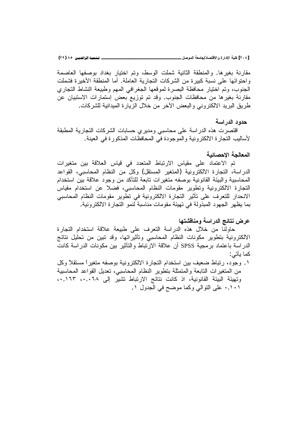[٢٠٤] كلية الإدارة والاقتصاد/جامعة الموصل \_\_

مقارنة بغيرها. والمنطقة الثانية شملت الوسط، وتم اختيار بغداد بوصفها العاصمة واحتوائها على نسبة كبيرة من الشركات النجارية العاملة. أما المنطقة الأخيرة فشملت الجنوب، وتم اختيار محافظة البصرة لموقعها الجغرافي المهم وطبيعة النشاط التجاري مقارنة بغيرها من محافظات الجنوب. وقد تم توزيع بعض إستمارات الاستبيان عن طريق البريد الالكتروني والبعض الأخر من خلال الزيارة الميدانية للشركات.

### حدو د الدر اسة

اقتصرت هذه الدراسة على محاسبي ومديري حسابات الشركات التجارية المطبقة لأساليب التجار ة الالكترونية والموجودة في المحافظات المذكور ة في العينة .

# المعالجة الاحصائبة

تم الاعتماد على مقياس الارتباط المتعدد في قياس العلاقة بين متغيرات الدراسة، التجارة الالكترونية (المتغير المستقل) وكل من النظام المحاسبي، القواعد المحاسبية والبيئة القانونية بوصفه متغيرات نابعة للتأكد من وجود علاقة بين استخدام التجارة الالكترونية وتطوير مقومات النظام المحاسبي، فضلا عن استخدام مقياس الانحدار للتعرف على تأثير التجارة الالكترونية في تطّوير مقومات النظام المحاسبي بما يظهر الجهود المبذولة في تهيئة مقومات مناسبة لنمو التجارة الالكترونية.

### عرض نتائج الدراسة ومناقشتها

حاولنا من خلال هذه الدراسة التعرف على طبيعة علاقة استخدام التجارة الالكترونية بتطوير مكونات النظام المحاسبي وتأثيراتها، وقد تبين من تحليل نتائج الدر اسة باعتماد برمجية SPSS أن علاقة الارتباط والتأثير بين مكونات الدر اسة كانت كما يأتي:

١. وجود، رتباط ضعيف بين استخدام التجارة الالكترونية بوصفه متغيراً مستقلاً وكل من المتغيرات التابعة والمتمثلة بتطوير النظام المحاسبي، تعديل القواعد المحاسبية وتهيئة البيئة القانونية، اذ كانت نتائج الارتباط تشير إلى ٢٠,٠٦٨، ٠,١٦٣ ۰٬۱۰۱ على النوالي وكما موضح في الجدول ۱.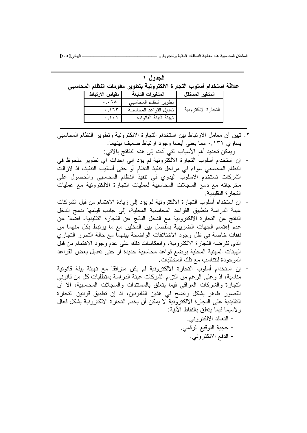| الجدول ۱ |  |                                                                       |  |  |  |
|----------|--|-----------------------------------------------------------------------|--|--|--|
|          |  | علاقة استخدام أسلوب التجارة الالكترونية بتطوير مقومات النظام المحاسبي |  |  |  |
|          |  | المتغير المستقل     المتغيرات التابعة    مقياس الارتباط               |  |  |  |

| تطوير النظام المحاسبي<br>$\cdot \cdot$ 1 $\wedge$         |  |
|-----------------------------------------------------------|--|
| النجار ة الالكتر و نبة<br>نعديل القواعد المحاسبية<br>.175 |  |
| تهيئة البيئة القانونية                                    |  |

٢. تبين أن معامل الارتباط بين استخدام التجارة الالكترونية وتطوير النظام المحاسبي بِساوي ٠,١٣١ مما يعني أيضا وجود ارتباط ضعيف بينهما.

ويمكن تحديد أهم الأسباب التي أدت إلى هذه النتائج بالاتي:

- إن استخدام أسلوب التجارة الالكترونية لم يؤد إلى إحداث اي تطوير ملحوظ في النظام المحاسبي سواء في مراحل نتفيذ النظام أو حتى أساليب التنفيذ، اذ لازالت الشركات تستخدم الاسلوب اليدوي في نتفيذ النظام المحاسبي والحصول على مغرجاته مع دمج السجلات المحاسبية لعمليات النجارة الالكترونية مع عمليات النجار ة النقليدية.
- إن استخدام أسلوب التجارة الالكترونية لم يؤد إلى زيادة الاهتمام من قبل الشركات عينة الدراسة بتطبيق القواعد المحاسبية المحلية، إلى جانب قيامها بدمج الدخل الناتج عن التجارة الالكترونية مع الدخل الناتج عن التجارة التقليدية، فضلا عن عدم إهتمام الجهات الضريبية بالفصل بين الدخلين مع ما يرنبط بكل منهما من نفقات خاصة في ظل وجود الاختلافات الواضحة بينهما مع حالة التحرر التجاري الذي تفرضه التجارة الالكترونية، وانعكاسات ذلك على عدم وجود الاهتمام من قبل المهيئات المهنية المحلية بوضع قواعد محاسبية جديدة او حتى تعديل بعض القواعد الموجودة لنتناسب مع نلك المنطلبات.
- إن استخدام أسلوب التجارة الالكترونية لم يكن مترافقا مع تهيئة بيئة قانونية مناسبة، اذ وعلى الرغم من النزام الشركات عينة الدراسة بمنطلبات كل من قانوني النجارة والشركات العراقي فيما ينعلق بالمستندات والسجلات المحاسبية، الا أن القصور ظاهر بشكل واضح في هذين القانونين، اذ إن تطبيق قوانين التجارة التقليدية على التجارة الالكترونية لا يمكن أن يخدم التجارة الالكترونية بشكل فعال و لاسبما فبما بتعلق بالنقاط الآتبة:
	- التعاقد الالكتروني. - حجية التوقيع الرقمي.
		- الدفع الالكتروني.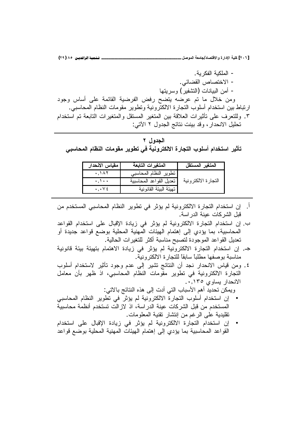[٢٠٦] كلية الإدارة والاقتصاد/جامعة الموصل \_\_ . تــفـميــة الرافديــن ٨٥ (٢٩)

– الملكية الفكر ية. - الاختصاص القضائي. – أمن البيانات (النشفير ) وسر بنها ومن خلال ما تم عرضه يتضح رفض الفرضية القائمة على أساس وجود ارتباط بين استخدام أسلوب النجارة الالكترونية ونطوير مقومات النظام المحاسبي. ٣. وللتعرف على تأثيرات العلاقة بين المتغير المستقل والمتغيرات التابعة تم استخدام تحليل الانحدار ، وقد بينت نتائج الجدول ٢ الآتي:

الجدول ۲ تأثير استخدام أسلوب التجارة الالكترونية في تطوير مقومات النظام المحاسبي

| مقياس الانحدار                      | المتغيرات التابعة       | المتغير المستقل     |
|-------------------------------------|-------------------------|---------------------|
| .147                                | تطوير النظام المحاسبي   |                     |
| $\cdot \cdot \cdot$                 | تعديل القواعد المحاسبية | النجارة الالكترونية |
| $\cdot$ , $\cdot$ $\vee$ $\epsilon$ | تهيئة البيئة القانونية  |                     |

- إن استخدام التجارة الالكترونية لم يؤثر في تطوير النظام المحاسبي المستخدم من  $\cdot$ قبل الشر كات عينة الدر اسة.
- ب. إن استخدام التجارة الالكترونية لم يؤثر في زيادة الإقبال على استخدام القواعد المحاسبية، بما يؤدى إلى إهتمام الهيئات المهنية المحلية بوضع قواعد جديدة أو تعديل القواعد الموجودة لتصبح مناسبة أكثر للتغيرات الحالية.
- جـ. إن استخدام النجارة الالكترونية لم يؤثر في زيادة الاهتمام بتهيئة بيئة قانونية مناسبة بو صفها مطلباً سابقاً للنجار ة الالكتر ونية.
- ٤. ومن قياس الانحدار نجد أن النتائج تشير إلى عدم وجود تأثير لاستخدام أسلوب التجارة الالكترونية في تطوير مقومات النظام المحاسبي، اذ ظهر بأن معامل الانحدار يساوي ١٣٥٬٠٫١٣٥

ويمكن تحديد أهم الأسباب التي أدت إلى هذه النتائج بالاتي:

- إن استخدام أسلوب التجارة الالكترونية لم يؤثر في تطوير النظام المحاسبي المستخدم من قبل الشركات عينة الدراسة، اذ لازالت تستخدم أنظمة محاسبية نقليدية على الرغم من إنتشار نقنية المعلومات.
- إن استخدام التجارة الالكترونية لم يؤثر في زيادة الإقبال على استخدام القواعد المحاسبية بما يؤدي إلى إهتمام الهيئات المهنية المحلية بوضع قواعد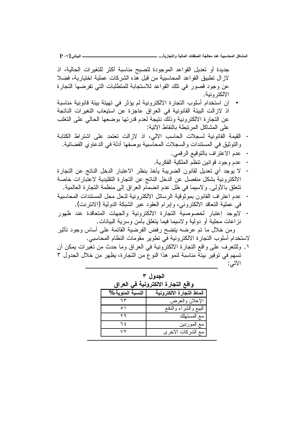جديدة أو تعديل القواعد الموجودة لتصبح مناسبة أكثر للتغيرات الحالية، اذ لاز ال تطبيق القواعد المحاسبية من قبل هذه الشركات عملية اختيارية، فضلا عن وجود قصور في تلك القواعد للاستجابة للمتطلبات التي تفرضها التجارة الألكتر ونبة.

- إن استخدام أسلوب التجارة الالكترونية لم يؤثر في تهيئة بيئة قانونية مناسبة اذ لازالت البيئة القانونية في العراق عاجزة عن استيعاب التغيرات الناتجة عن التجارة الالكترونية وذلك نتيجة لعدم قدرتها بوضعها الحالى على التغلب على المشاكل المر نبطة بالنقاط الآتية:
- القيمة القانونية لسجلات الحاسب الالي، اذ لازالت نعتمد على اشتراط الكتابة و النوثيق في المستندات و السجلات المحاسبية بوصفها أدلة في الدعاوي القضائية.
	- عدم الاعتراف بالتوقيع الرق*مي.*
	- عدم وجود قو انبن نتظم الملكبة الفكر بة.
- لا يوجد أي تعديل لقانون الضريبة يأخذ بنظر الاعتبار الدخل الناتج عن التجارة الالكترونية بشكل منفصل عن الدخل الناتج عن التجارة التقليدية لاعتبارات خاصة تتعلُّق بالأولى. ولاسيما في ظل عدم انضمام العراق إلى منظمة التجارة العالمية.
- عدم اعتراف القانون بموثوقية الرسائل الالكترونية لتحل محل المستندات المحاسبية في عملية النعاقد الالكتروني، وإبرام العقود عبر الشبكة الدولية (الانترنت).
- لايوجد إعتبار لخصوصية النجارة الالكترونية والجهات المتعاقدة عند ظهور نزاعات محلية أو دولية ولاسيما فيما بنعلق بأمن وسرية البيانات.

ومن خلال ما تم عرضه بتضح رفض الفرضية القائمة على أساس وجود تأثير لاستخدام أسلوب التجارة الالكترونية في تطوير مقومات النظام المحاسبي.

١ . وللتعرف على واقع التجارة الالكترونية في العراق وما حدث من تغيرات يمكن أن تسهم في توفير بيئة مناسبة لنمو هذا النوع من التجارة، يظهر من خلال الجدول ٣ الأتى:

| الجدول ۳<br>واقع التجارة الالكترونية فى العراق |                           |  |
|------------------------------------------------|---------------------------|--|
| النسبة المئوية %                               | أنماط التجارة الالكترونية |  |
| ٦٣                                             | الإعلان والعرض            |  |
| ٥١                                             | البيع والشراء والدفع      |  |
| ۲۹                                             | مع المستهلك               |  |
| ٦٤                                             | مع الموردين               |  |
| ۷۲                                             | مع الشركات الاخر ي        |  |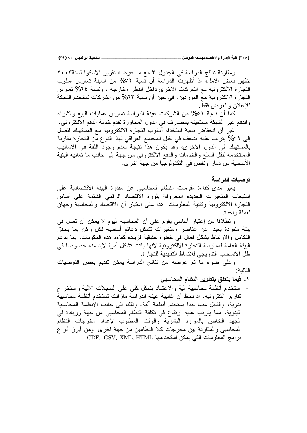ومقارنة نتائج الدراسة في الجدول ٣ مع ما عرضه تقرير الاسكوا لسنة٢٠٠٣ يظهر بعض الامل، اذ أظهرت الدراسة أن نسبة ٧٢% من العينة تمارس أسلوب النجارة الالكترونية مع الشركات الاخرى داخل القطر وخارجه ، ونسبة ٢٤% تمارس التجار ة الالكترونية مع الموردين، في حين أن نسبة ٦٣% من الشركات تستخدم الشبكة للإعلان والعرض فقط.

كما أن نسبة ٥١% من الشركات عينة الدراسة تمارس عمليات البيع والشراء والدفع عبر الشبكة مستعينة بمصارف في الدول المجاورة تقدم خدمة الدفع الالكتروني.

غير أن انخفاض نسبة استخدام أسلوب التجارة الالكترونية مع المستهلك لتصل إلى ٢٩% يترتب عليه ضعف في نقبل المجتمع العراقي لهذا النوع من التجارة مقارنة بالمستهلك في الدول الاخرى، وقد يكون هذا نتيجة لعدم وجود الثقة في الاساليب المستخدمة لنقل السلع والخدمات والدفع الالكتروني من جهة إلى جانب ما تعانيه البنية الأساسية من دمار ونقص في النكنولوجيا من جهة اخر ي.

### توصيات الدر اسة

يعبِّر مدى كفاءة مقومات النظام المحاسبي عن مقدرة البيئة الاقتصادية على إستيعاب المتغيرات الجديدة المعروفة بثورة الاقتصاد الرقمى القائمة على أساس النجارة الالكترونية ونقنية المعلومات. هذا على إعتبار أن الاقتصاد والمحاسبة وجهان لعملة واحدة.

وانطلاقًا من إعتبار أساسي يقوم على أن المحاسبة اليوم لا يمكن أن تعمل في بيئة منفردة بعيدا عن عناصر ومتغيرات تشكل دعائم أساسية لكل ركن بما يحقق النكامل والارتباط بشكل فعال في خطوة حقيقية لزيادة كفاءة هذه المكونات، بما يدعم البيئة العامة لممارسة التجارة الالكترونية لانها باتت نشكل أمرا لابد منه خصوصاً في ظل الانسحاب الندريجي للأنماط النقليدية للتجار ة.

وعلى ضوء ما تم عرضه من نتائج الدراسة يمكن نقديم بعض التوصيات التالمة :

- ١ . فيما يتعلق بتطوير النظام المحاسبي
- استخدام أنظمة محاسبية ألية والاعتماد بشكل كلبي علىي السجلات الألية واستخراج تقارير الكترونية. اذ لحظ أن غالبية عينة الدراسة مازالت تستخدم أنظمة محاسبية يدوية، والقليل منها جدا يستخدم أنظمة ألية، وذلك إلى جانب الانظمة المحاسبية اليدوية، مما يترتب عليه ارتفاع في تكلفة النظام المحاسبي من جهة وزيادة في الجهد الخاص بالموارد البشرية والوقت المطلوب لإعداد مخرجات النظام المحاسبي والمقارنة بين مخرجات كلا النظامين من جهة اخرى. ومن أبرز أنواع برامج المعلومات التي يمكن استخدامها CDF, CSV, XML, HTML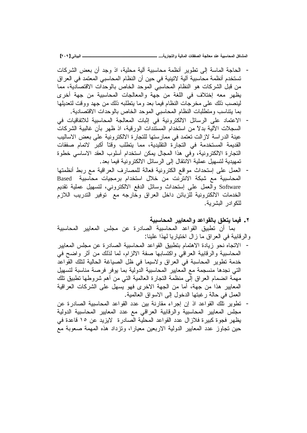**[ÏÍÖ] ƑřœƒŕƃŒººººººººººººººººººººººººººº ...ŗƒŧœŞřƃŒƍŗƒƃœƆƃŒŘœƀŽŮƃŒŗŞƃœŶƆťƈŵŗƒŕŪœšƆƃŒ¾ƂœŬƆƃŒ**

- الحاجة الماسة إلى نطوير أنظمة محاسبية ألية محلية، اذ وجد أن بعض الشر كات تستخدم أنظمة محاسبية آلية لاتينية في حين أن النظام المحاسبي المعتمد في العراق من قبل الشركات هو النظام المحاسبي الموحد الخاص بالوحدات الاقتصادية، مما يظهر معه إختلاف في اللغة من جهة والمعالجات المحاسبية من جهة أخرى لينصب ذلك على مخرجات النظام فيما بعد وما يتطلبه ذلك من جهد ووقت لتعديلها بما يتناسب ومنطلبات النظام المحاسبي الموحد الخاص بالوحدات الاقتصادية.
- الاعتماد على الرسائل الالكترونية في إثبات المعالجة المحاسبية للاتفاقيات في السجلات الألية بدلاً من استخدام المستندات الورقية، اذ ظهر بأن غالبية الشركات عينة الدراسة لازالت تعتمد في ممارستها للتجارة الالكترونية على بعض الاساليب القديمة المستخدمة في التجارة النقليدية، مما يتطلب وقتاً أكبر لاتمام صفقات التجارة الالكترونية، وفي هذا المجال يمكن استخدام أسلوب العقد الاساسي خطوة تمهيدية لتسهيل عملية الانتقال إلى الرسائل الالكترونية فيما بعد.
- العمل على إستحداث مواقع الكترونية فعالة للمصارف العراقية مع ربط أنظمتها Based المحاسبية مع شبكة الانترنت من خلال استخدام برمجيات محاسبية Software والعمل على إستحداث وسائل الدفع الالكتروني، لتسهيل عملية تقديم الخدمات الالكترونية للزبائن داخل العراق وخارجه مع توفير التدريب اللازم للكو ادر البشر ية.
	- **ŗƒŕŪœšƆƃŒŧƒƒœŶƆƃŒƍťŵŒƍƀƃœŕžƄŶřƒœƆƒż .Ï**

بما أن تطبيق القواعد المحاسبية الصادرة عن مجلس المعابير المحاسبية والرقابية في العراق ما زال اختياريا لهذا علينا:

- الاتجاه نحو زيادة الاهتمام بتطبيق القواعد المحاسبية الصادرة عن مجلس المعابير المحاسبية والرقابية العراقبي واكتسابها صفة الالزام، لما لذلك من أثر واضح في خدمة نطوير المحاسبة في العراق ولاسيما في ظل الصياغة الحالية لنلك القواعد التي نجدها منسجمة مع المعابير المحاسبية الدولية بما يوفر فرصة مناسبة لتسهيل مهمة انضمام العراق إلى منظمة التجارة العالمية التي من أهم شروطها نطبيق نلك المعايير هذا من جهة، أما من الجهة الاخرى فهو يسهل على الشركات العراقية العمل في حالة رغبتها الدخول إلى الاسواق العالمية.
- تطوير تلك القواعد اذ إن إجراء مقارنة بين عدد القواعد المحاسبية الصادرة عن مجلس المعابير المحاسبية والرقابية العراقي مع عدد المعايير المحاسبية الدولية يظهر فجوة كبيرة فلازال عدد القواعد المحلية الصادرة لايزيد عن ١٥ قاعدة في حين تجاوز عدد المعايير الدولية الاربعين معيارا، وتزداد هذه المهمة صعوبة مع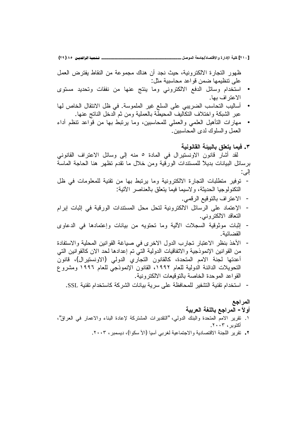ـ تـــُـمِيـة الرافديــن ٨٥ (٢٩)

[٢١٠] كلية الإدارة والاقتصاد/جامعة الموصل \_

ظهور التجارة الالكترونية، حيث نجد أن هناك مجموعة من النقاط يفترض العمل على تنظيمها ضمن قواعد محاسبية مثل:

- استخدام وسائل الدفع الالكتروني وما ينتج عنها من نفقات وتحديد مستوى الاعتر اف بها.
- أساليب التحاسب الضريبي على السلع غير الملموسة. في ظل الانتقال الخاص لها عبر الشبكة واختلاف التكاليف المحيطة بالعملية ومن ثم الدخل الناتج عنها.
- مهارات النَّاهيل العلمي والعملي للمحاسبين، وما يرتبط بها من قواعد نتظم أداء العمل و السلوك لدى المحاسبين .
	- ٣. فيما يتعلق بالبيئة القانونية

لقد أشار قانون الاونستيرال في المادة ٥ منه إلى وسائل الاعتراف القانوني برسائل البيانات بديلاً للمستندات الورقية ومن خلال ما نقدم نظهر هنا الحاجة الماسة إلى:

- توفير متطلبات التجارة الالكترونية وما يرتبط بها من تقنية للمعلومات في ظل التكنولوجيا الحديثة، ولاسيما فيما يتعلق بالعناصر الأتية:
	- الاعتراف بالتوقيع الرقمي.  $\overline{a}$
- الإعتماد على الرسائل الالكترونية لتحل محل المستندات الورقية في إثبات إبرام  $\overline{a}$ النعاقد الالكترونـي.
- اِثِبات موثوقية السجلات الألية وما تحتويه من بيانات وإعتمادها في الدعاوى  $\overline{\phantom{a}}$ القضائية .
- الأخذ بنظر الاعتبار تجارب الدول الاخرى في صباغة القوانين المحلية والاستفادة  $\overline{a}$ من القوانين الإنموذجية والاتفاقيات الدولية التي تم إعدادها لحد الان كالقوانين التي أعدتها لجنة الامم المتحدة، كالقانون التجاري الدولي (الاونستيرال)، قانون التحويلات الدائنة الدولية للعام ١٩٩٢، القانون الإنموذجي للعام ١٩٩٦ ومشروع القو اعد المو حدة الخاصة بالنو قيعات الالكتر و نية.
	- استخدام تقنية التشفير للمحافظة على سرية بيانات الشركة كاستخدام تقنية SSL.

# المراجع أولآ – المراجع باللغة العربية

- ١. نقرير الامم المتحدة والبنك الدولي، "النقديرات المشتركة لإعادة البناء والإعمار في العراق"، أكتوبر ، ٢٠٠٣.
	- ٢ . نقرير اللجنة الاقتصادية والاجتماعية لغربي أسيا (الأ سكوا)، ديسمبر ، ٢٠٠٣.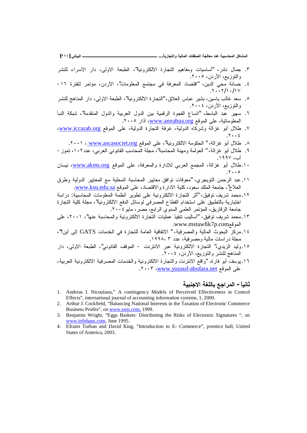**[ÏÎÎ] ƑřœƒŕƃŒººººººººººººººººººººººººººº ...ŗƒŧœŞřƃŒƍŗƒƃœƆƃŒŘœƀŽŮƃŒŗŞƃœŶƆťƈŵŗƒŕŪœšƆƃŒ¾ƂœŬƆƃŒ**

- ٣. جمال نادر، "أساسيات ومفاهيم التجارة الالكترونية"، الطبعة الاولى، دار الاسراء للنشر والنوزيع، الأردن، ٢٠٠٥.
- ٤. حسانة محي الدين، "اقتصاد المعرفة في مجتمع المعلومات"، الأردن، مؤتمر للفترة ١٦- $\Lambda$ .  $\mathcal{N}$   $\mathcal{N}$   $\mathcal{N}$
- ٥. سعد غالب باسين، بشير عباس العلاق، "للتجارة الالكترونية"، الطبعة الاولى، دار المناهج للنشر والتوزيع، الأردن، ٢٠٠٤.
- ٦. سهير عبد الباسط، "اتساع الفجوة الرقمية بين الدول العربية والدول المتقدمة"، شبكة النبأ المعلوماتية، على الموقع www.annabaa.org، آذار ٢٠٠٥.
- www.iccarab.org كال أبو غزالة وشركاه الدولية، غرفة النجارة الدولية، على الموقع www.iccarab.org.  $.7 \cdot . 2$ 
	- ۸. طلال أبو غزالة، " الحكومة الالكترونية"، على الموقع <u>www.ascasociet.org ،</u> ٢٠٠١.
- ٩. طلال أبو غزالة، " العولمة ومهنة المحاسبة"، مجلة المحاسب القانوني العربي، عدد ١٠٢، تموز -أب، ١٩٩٧.
- . الحائل أبو غزالة، المجمع العربي للإدارة والمعرفة، على الموقع <u>www.akms.org</u>، نيسان  $.7 \cdot \cdot \cdot$
- ١١.عبد الرحمن التويجري، "معوقات توافق معابير المحاسبة المحلية مع المعايير الدولية وطرق .<u>www.ksu.edu.sa</u> العلاج"، جامعة الملك سعود، كلية الادارة والاقتصاد، على الموقع <u>www.ksu.edu.sa</u>
- ۱۲.محمد شريف نوفيق، "أثر التجارة الالكترونية على نطوير أنظمة المعلومات المحاسبية: دراسة اختبارية بالتطبيق على استخدام القطاع المصرفي لوسائل الدفع الالكترونية"، مجلة كلية التجارة جامعة الزقازيق، المؤتمر العلمي السنوى الرابع، مصر، مايو ٢٠٠٤.
- ١٣. محمد شريف توفيق، "أساليب تنفيذ عمليات التجار ة الإلكتر ونية والمحاسبة عنها"، ٢٠٠١، على .[www.mstawfik7p.com](http://www.mstawfik7p.com)
- 18 مركز البحوث المالية والمصرفية، " الاتفاقية العامة للتجارة في الخدمات GATS إلى أين؟"، مجلة در اسات مالية ومصرفية، عدد ٣ ،١٩٩٨.
- ١٥ وليد الزيدي،" التجارة الالكترونية عبر الانترنت الموقف القانوني"، الطبعة الاولى، دار المناهج للنشر والنوزيع، الأردن، ٢٠٠٤.
- ١٦. يوسف أبو فارة، "واقع الانترنت والتجارة الالكترونية والخدمات المصرفية الالكترونية العربية، على الموقع v ٢٠٠٣ ، www.yuusuf-abufara.net

# ثانياً – المراجع باللغة الاجنبية

- 1. Andreas I. Nicoulaou," A contingency Models of Perceived Effectiveness in Control Effects", international journal of accounting information systems, 1, 2000.
- 2. Arthur J. Cockfield, "Balancing National Interests in the Taxation of Electronic Commerce Business Profits", on [www.ssrn.com,](http://www.ssrn.com,) 1999.
- 3. Benjamin Wright, "Eggs Baskets: Distribnting the Risks of Electronic Signatures ", on [www.infohaus.com,](http://www.infohaus.com) June 1995.
- 4. Efraim Turban and David King, "Introduction to E- Commerce", prentice hall, United States of America, 2003.